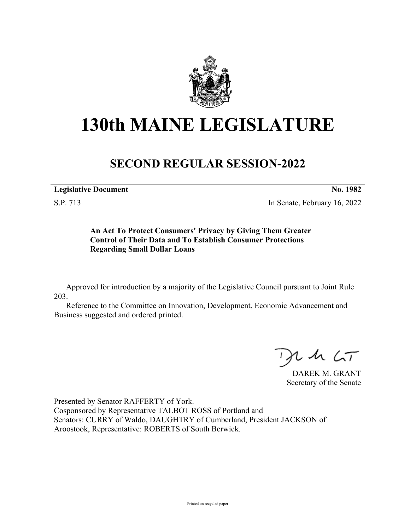

## **130th MAINE LEGISLATURE**

## **SECOND REGULAR SESSION-2022**

**Legislative Document No. 1982**

S.P. 713 In Senate, February 16, 2022

**An Act To Protect Consumers' Privacy by Giving Them Greater Control of Their Data and To Establish Consumer Protections Regarding Small Dollar Loans**

Approved for introduction by a majority of the Legislative Council pursuant to Joint Rule 203.

Reference to the Committee on Innovation, Development, Economic Advancement and Business suggested and ordered printed.

 $125$ 

DAREK M. GRANT Secretary of the Senate

Presented by Senator RAFFERTY of York. Cosponsored by Representative TALBOT ROSS of Portland and Senators: CURRY of Waldo, DAUGHTRY of Cumberland, President JACKSON of Aroostook, Representative: ROBERTS of South Berwick.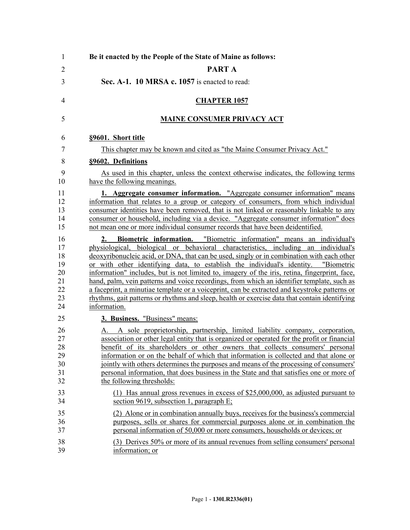| 1                                                  | Be it enacted by the People of the State of Maine as follows:                                                                                                                                                                                                                                                                                                                                                                                                                                                                                                                                                                                                                                                                                                       |
|----------------------------------------------------|---------------------------------------------------------------------------------------------------------------------------------------------------------------------------------------------------------------------------------------------------------------------------------------------------------------------------------------------------------------------------------------------------------------------------------------------------------------------------------------------------------------------------------------------------------------------------------------------------------------------------------------------------------------------------------------------------------------------------------------------------------------------|
| $\overline{2}$                                     | <b>PARTA</b>                                                                                                                                                                                                                                                                                                                                                                                                                                                                                                                                                                                                                                                                                                                                                        |
| 3                                                  | Sec. A-1. 10 MRSA c. 1057 is enacted to read:                                                                                                                                                                                                                                                                                                                                                                                                                                                                                                                                                                                                                                                                                                                       |
| $\overline{4}$                                     | <b>CHAPTER 1057</b>                                                                                                                                                                                                                                                                                                                                                                                                                                                                                                                                                                                                                                                                                                                                                 |
| 5                                                  | <b>MAINE CONSUMER PRIVACY ACT</b>                                                                                                                                                                                                                                                                                                                                                                                                                                                                                                                                                                                                                                                                                                                                   |
| 6                                                  | §9601. Short title                                                                                                                                                                                                                                                                                                                                                                                                                                                                                                                                                                                                                                                                                                                                                  |
| 7                                                  | This chapter may be known and cited as "the Maine Consumer Privacy Act."                                                                                                                                                                                                                                                                                                                                                                                                                                                                                                                                                                                                                                                                                            |
| 8                                                  | §9602. Definitions                                                                                                                                                                                                                                                                                                                                                                                                                                                                                                                                                                                                                                                                                                                                                  |
| 9<br>10                                            | As used in this chapter, unless the context otherwise indicates, the following terms<br>have the following meanings.                                                                                                                                                                                                                                                                                                                                                                                                                                                                                                                                                                                                                                                |
| 11<br>12<br>13<br>14<br>15                         | 1. Aggregate consumer information. "Aggregate consumer information" means<br>information that relates to a group or category of consumers, from which individual<br>consumer identities have been removed, that is not linked or reasonably linkable to any<br>consumer or household, including via a device. "Aggregate consumer information" does<br>not mean one or more individual consumer records that have been deidentified.                                                                                                                                                                                                                                                                                                                                |
| 16<br>17<br>18<br>19<br>20<br>21<br>22<br>23<br>24 | Biometric information. "Biometric information" means an individual's<br>2.<br>physiological, biological or behavioral characteristics, including an individual's<br>deoxyribonucleic acid, or DNA, that can be used, singly or in combination with each other<br>or with other identifying data, to establish the individual's identity. "Biometric<br>information" includes, but is not limited to, imagery of the iris, retina, fingerprint, face,<br>hand, palm, vein patterns and voice recordings, from which an identifier template, such as<br>a faceprint, a minutiae template or a voiceprint, can be extracted and keystroke patterns or<br>rhythms, gait patterns or rhythms and sleep, health or exercise data that contain identifying<br>information. |
| 25                                                 | 3. Business. "Business" means:                                                                                                                                                                                                                                                                                                                                                                                                                                                                                                                                                                                                                                                                                                                                      |
| 26<br>27<br>28<br>29<br>30<br>31<br>32             | A sole proprietorship, partnership, limited liability company, corporation,<br>А.<br>association or other legal entity that is organized or operated for the profit or financial<br>benefit of its shareholders or other owners that collects consumers' personal<br>information or on the behalf of which that information is collected and that alone or<br>jointly with others determines the purposes and means of the processing of consumers'<br>personal information, that does business in the State and that satisfies one or more of<br>the following thresholds:                                                                                                                                                                                         |
| 33<br>34                                           | (1) Has annual gross revenues in excess of $$25,000,000$ , as adjusted pursuant to<br>section 9619, subsection 1, paragraph $E$ ;                                                                                                                                                                                                                                                                                                                                                                                                                                                                                                                                                                                                                                   |
| 35<br>36<br>37                                     | (2) Alone or in combination annually buys, receives for the business's commercial<br>purposes, sells or shares for commercial purposes alone or in combination the<br>personal information of 50,000 or more consumers, households or devices; or                                                                                                                                                                                                                                                                                                                                                                                                                                                                                                                   |
| 38<br>39                                           | (3) Derives 50% or more of its annual revenues from selling consumers' personal<br>information; or                                                                                                                                                                                                                                                                                                                                                                                                                                                                                                                                                                                                                                                                  |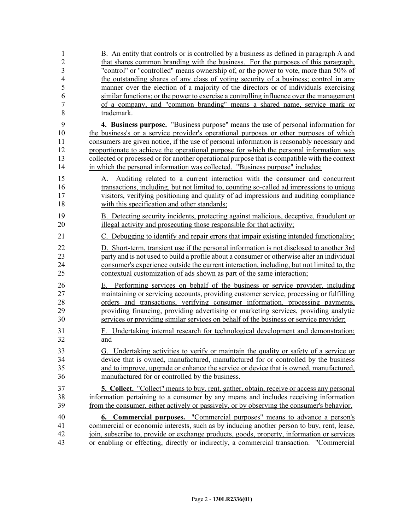| 1                   | B. An entity that controls or is controlled by a business as defined in paragraph A and                                                                             |
|---------------------|---------------------------------------------------------------------------------------------------------------------------------------------------------------------|
| $\overline{2}$      | that shares common branding with the business. For the purposes of this paragraph,                                                                                  |
| $\overline{3}$      | "control" or "controlled" means ownership of, or the power to vote, more than 50% of                                                                                |
| $\overline{4}$<br>5 | the outstanding shares of any class of voting security of a business; control in any                                                                                |
| 6                   | manner over the election of a majority of the directors or of individuals exercising                                                                                |
| $\overline{7}$      | similar functions; or the power to exercise a controlling influence over the management<br>of a company, and "common branding" means a shared name, service mark or |
| 8                   | trademark.                                                                                                                                                          |
| 9                   | 4. Business purpose. "Business purpose" means the use of personal information for                                                                                   |
| 10                  | the business's or a service provider's operational purposes or other purposes of which                                                                              |
| 11                  | consumers are given notice, if the use of personal information is reasonably necessary and                                                                          |
| 12                  | proportionate to achieve the operational purpose for which the personal information was                                                                             |
| 13                  | collected or processed or for another operational purpose that is compatible with the context                                                                       |
| 14                  | in which the personal information was collected. "Business purpose" includes:                                                                                       |
| 15                  | Auditing related to a current interaction with the consumer and concurrent<br>А.                                                                                    |
| 16                  | transactions, including, but not limited to, counting so-called ad impressions to unique                                                                            |
| 17                  | visitors, verifying positioning and quality of ad impressions and auditing compliance                                                                               |
| 18                  | with this specification and other standards;                                                                                                                        |
| 19                  | B. Detecting security incidents, protecting against malicious, deceptive, fraudulent or                                                                             |
| 20                  | illegal activity and prosecuting those responsible for that activity;                                                                                               |
| 21                  | C. Debugging to identify and repair errors that impair existing intended functionality;                                                                             |
| 22                  | D. Short-term, transient use if the personal information is not disclosed to another 3rd                                                                            |
| 23                  | party and is not used to build a profile about a consumer or otherwise alter an individual                                                                          |
| 24                  | consumer's experience outside the current interaction, including, but not limited to, the                                                                           |
| 25                  | contextual customization of ads shown as part of the same interaction;                                                                                              |
| 26                  | E. Performing services on behalf of the business or service provider, including                                                                                     |
| 27                  | maintaining or servicing accounts, providing customer service, processing or fulfilling                                                                             |
| 28                  | orders and transactions, verifying consumer information, processing payments,                                                                                       |
| 29                  | providing financing, providing advertising or marketing services, providing analytic                                                                                |
| 30                  | services or providing similar services on behalf of the business or service provider;                                                                               |
| 31                  | F. Undertaking internal research for technological development and demonstration;                                                                                   |
| 32                  | and                                                                                                                                                                 |
| 33                  | G. Undertaking activities to verify or maintain the quality or safety of a service or                                                                               |
| 34                  | device that is owned, manufactured, manufactured for or controlled by the business                                                                                  |
| 35                  | and to improve, upgrade or enhance the service or device that is owned, manufactured,                                                                               |
| 36                  | manufactured for or controlled by the business.                                                                                                                     |
| 37                  | 5. Collect. "Collect" means to buy, rent, gather, obtain, receive or access any personal                                                                            |
| 38                  | information pertaining to a consumer by any means and includes receiving information                                                                                |
| 39                  | from the consumer, either actively or passively, or by observing the consumer's behavior.                                                                           |
| 40                  | <b>6. Commercial purposes.</b> "Commercial purposes" means to advance a person's                                                                                    |
| 41                  | commercial or economic interests, such as by inducing another person to buy, rent, lease,                                                                           |
| 42                  | join, subscribe to, provide or exchange products, goods, property, information or services                                                                          |
| 43                  | or enabling or effecting, directly or indirectly, a commercial transaction. "Commercial                                                                             |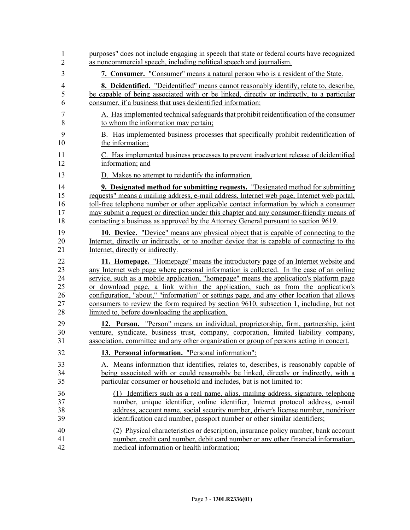| 1                | purposes" does not include engaging in speech that state or federal courts have recognized  |
|------------------|---------------------------------------------------------------------------------------------|
| $\overline{2}$   | as noncommercial speech, including political speech and journalism.                         |
| 3                | 7. Consumer. "Consumer" means a natural person who is a resident of the State.              |
| $\overline{4}$   | 8. Deidentified. "Deidentified" means cannot reasonably identify, relate to, describe,      |
| 5                | be capable of being associated with or be linked, directly or indirectly, to a particular   |
| 6                | consumer, if a business that uses deidentified information:                                 |
| $\boldsymbol{7}$ | A. Has implemented technical safeguards that prohibit reidentification of the consumer      |
| 8                | to whom the information may pertain;                                                        |
| 9                | B. Has implemented business processes that specifically prohibit reidentification of        |
| 10               | the information;                                                                            |
| 11               | C. Has implemented business processes to prevent inadvertent release of deidentified        |
| 12               | information; and                                                                            |
| 13               | D. Makes no attempt to reidentify the information.                                          |
| 14               | 9. Designated method for submitting requests. "Designated method for submitting             |
| 15               | requests" means a mailing address, e-mail address, Internet web page, Internet web portal,  |
| 16               | toll-free telephone number or other applicable contact information by which a consumer      |
| 17               | may submit a request or direction under this chapter and any consumer-friendly means of     |
| 18               | contacting a business as approved by the Attorney General pursuant to section 9619.         |
| 19               | <b>10. Device.</b> "Device" means any physical object that is capable of connecting to the  |
| 20               | Internet, directly or indirectly, or to another device that is capable of connecting to the |
| 21               | Internet, directly or indirectly.                                                           |
| 22               | 11. Homepage. "Homepage" means the introductory page of an Internet website and             |
| 23               | any Internet web page where personal information is collected. In the case of an online     |
| 24               | service, such as a mobile application, "homepage" means the application's platform page     |
| 25               | or download page, a link within the application, such as from the application's             |
| 26               | configuration, "about," "information" or settings page, and any other location that allows  |
| 27               | consumers to review the form required by section 9610, subsection 1, including, but not     |
| 28               | limited to, before downloading the application.                                             |
| 29               | 12. Person. "Person" means an individual, proprietorship, firm, partnership, joint          |
| 30               | venture, syndicate, business trust, company, corporation, limited liability company,        |
| 31               | association, committee and any other organization or group of persons acting in concert.    |
| 32               | 13. Personal information. "Personal information":                                           |
| 33               | A. Means information that identifies, relates to, describes, is reasonably capable of       |
| 34               | being associated with or could reasonably be linked, directly or indirectly, with a         |
| 35               | particular consumer or household and includes, but is not limited to:                       |
| 36               | (1) Identifiers such as a real name, alias, mailing address, signature, telephone           |
| 37               | number, unique identifier, online identifier, Internet protocol address, e-mail             |
| 38               | address, account name, social security number, driver's license number, nondriver           |
| 39               | identification card number, passport number or other similar identifiers;                   |
| 40               | (2) Physical characteristics or description, insurance policy number, bank account          |
| 41               | number, credit card number, debit card number or any other financial information,           |
| 42               | medical information or health information;                                                  |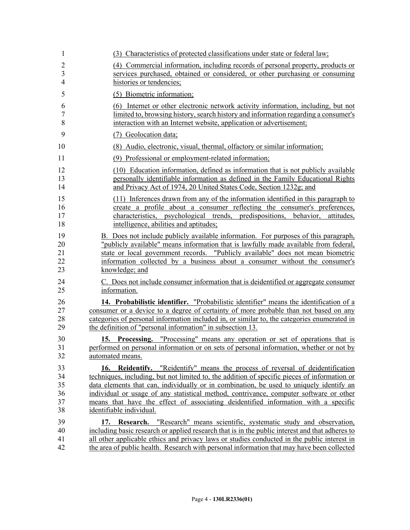| $\mathbf{1}$   | (3) Characteristics of protected classifications under state or federal law;                                                                                                        |
|----------------|-------------------------------------------------------------------------------------------------------------------------------------------------------------------------------------|
| $\overline{2}$ | (4) Commercial information, including records of personal property, products or                                                                                                     |
| 3              | services purchased, obtained or considered, or other purchasing or consuming                                                                                                        |
| $\overline{4}$ | histories or tendencies;                                                                                                                                                            |
| 5              | (5) Biometric information;                                                                                                                                                          |
| 6<br>$\tau$    | (6) Internet or other electronic network activity information, including, but not<br>limited to, browsing history, search history and information regarding a consumer's            |
| 8              | interaction with an Internet website, application or advertisement;                                                                                                                 |
| 9              | (7) Geolocation data;                                                                                                                                                               |
| 10             | (8) Audio, electronic, visual, thermal, olfactory or similar information;                                                                                                           |
| 11             | (9) Professional or employment-related information;                                                                                                                                 |
| 12             | (10) Education information, defined as information that is not publicly available                                                                                                   |
| 13<br>14       | personally identifiable information as defined in the Family Educational Rights<br>and Privacy Act of 1974, 20 United States Code, Section 1232g; and                               |
| 15             | (11) Inferences drawn from any of the information identified in this paragraph to                                                                                                   |
| 16<br>17       | create a profile about a consumer reflecting the consumer's preferences,<br>characteristics, psychological trends, predispositions, behavior,<br>attitudes.                         |
| 18             | intelligence, abilities and aptitudes;                                                                                                                                              |
| 19             | B. Does not include publicly available information. For purposes of this paragraph,                                                                                                 |
| 20             | "publicly available" means information that is lawfully made available from federal,                                                                                                |
| 21<br>22       | state or local government records. "Publicly available" does not mean biometric<br>information collected by a business about a consumer without the consumer's                      |
| 23             | knowledge; and                                                                                                                                                                      |
| 24             | C. Does not include consumer information that is deidentified or aggregate consumer                                                                                                 |
| 25             | information.                                                                                                                                                                        |
| 26             | 14. Probabilistic identifier. "Probabilistic identifier" means the identification of a                                                                                              |
| 27<br>28       | consumer or a device to a degree of certainty of more probable than not based on any<br>categories of personal information included in, or similar to, the categories enumerated in |
| 29             | the definition of "personal information" in subsection 13.                                                                                                                          |
| 30             |                                                                                                                                                                                     |
| 31             | 15. Processing. "Processing" means any operation or set of operations that is performed on personal information or on sets of personal information, whether or not by               |
| 32             | automated means.                                                                                                                                                                    |
| 33<br>34       | 16. Reidentify. "Reidentify" means the process of reversal of deidentification<br>techniques, including, but not limited to, the addition of specific pieces of information or      |
| 35             | data elements that can, individually or in combination, be used to uniquely identify an                                                                                             |
| 36             | individual or usage of any statistical method, contrivance, computer software or other                                                                                              |
| 37<br>38       | means that have the effect of associating deidentified information with a specific<br>identifiable individual.                                                                      |
| 39             | 17. Research. "Research" means scientific, systematic study and observation,                                                                                                        |
| 40             | including basic research or applied research that is in the public interest and that adheres to                                                                                     |
| 41             | all other applicable ethics and privacy laws or studies conducted in the public interest in                                                                                         |
| 42             | the area of public health. Research with personal information that may have been collected                                                                                          |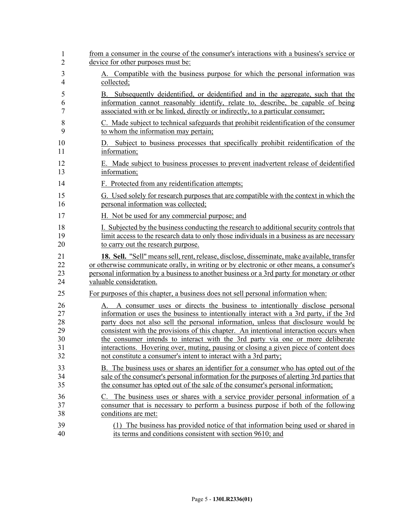| 1              | from a consumer in the course of the consumer's interactions with a business's service or              |
|----------------|--------------------------------------------------------------------------------------------------------|
| 2              | device for other purposes must be:                                                                     |
| 3              | A. Compatible with the business purpose for which the personal information was                         |
| $\overline{4}$ | collected;                                                                                             |
| 5              | B. Subsequently deidentified, or deidentified and in the aggregate, such that the                      |
| 6              | information cannot reasonably identify, relate to, describe, be capable of being                       |
| 7              | associated with or be linked, directly or indirectly, to a particular consumer;                        |
| 8              | C. Made subject to technical safeguards that prohibit reidentification of the consumer                 |
| 9              | to whom the information may pertain;                                                                   |
| 10<br>11       | Subject to business processes that specifically prohibit reidentification of the<br>D.<br>information; |
| 12             | E. Made subject to business processes to prevent inadvertent release of deidentified                   |
| 13             | information;                                                                                           |
| 14             | F. Protected from any reidentification attempts;                                                       |
| 15             | G. Used solely for research purposes that are compatible with the context in which the                 |
| 16             | personal information was collected;                                                                    |
| 17             | H. Not be used for any commercial purpose; and                                                         |
| 18             | I. Subjected by the business conducting the research to additional security controls that              |
| 19             | limit access to the research data to only those individuals in a business as are necessary             |
| 20             | to carry out the research purpose.                                                                     |
| 21             | 18. Sell. "Sell" means sell, rent, release, disclose, disseminate, make available, transfer            |
| 22             | or otherwise communicate orally, in writing or by electronic or other means, a consumer's              |
| 23             | personal information by a business to another business or a 3rd party for monetary or other            |
| 24             | valuable consideration.                                                                                |
| 25             | For purposes of this chapter, a business does not sell personal information when:                      |
| 26             | A. A consumer uses or directs the business to intentionally disclose personal                          |
| 27             | information or uses the business to intentionally interact with a 3rd party, if the 3rd                |
| 28             | party does not also sell the personal information, unless that disclosure would be                     |
| 29             | consistent with the provisions of this chapter. An intentional interaction occurs when                 |
| 30             | the consumer intends to interact with the 3rd party via one or more deliberate                         |
| 31             | interactions. Hovering over, muting, pausing or closing a given piece of content does                  |
| 32             | not constitute a consumer's intent to interact with a 3rd party;                                       |
| 33             | B. The business uses or shares an identifier for a consumer who has opted out of the                   |
| 34             | sale of the consumer's personal information for the purposes of alerting 3rd parties that              |
| 35             | the consumer has opted out of the sale of the consumer's personal information;                         |
| 36             | The business uses or shares with a service provider personal information of a                          |
| 37             | consumer that is necessary to perform a business purpose if both of the following                      |
| 38             | conditions are met:                                                                                    |
| 39             | (1) The business has provided notice of that information being used or shared in                       |
| 40             | its terms and conditions consistent with section 9610; and                                             |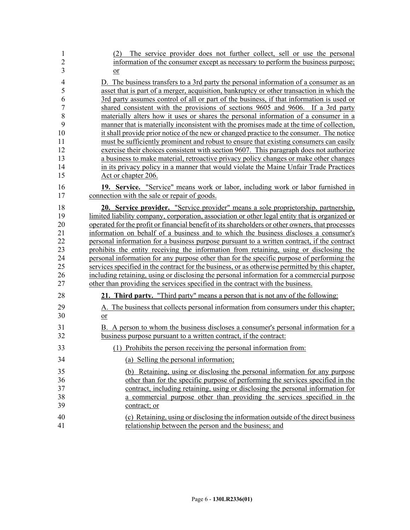| 1<br>$\overline{2}$<br>3 | The service provider does not further collect, sell or use the personal<br>(2)<br>information of the consumer except as necessary to perform the business purpose;<br>$or$                    |
|--------------------------|-----------------------------------------------------------------------------------------------------------------------------------------------------------------------------------------------|
| $\overline{4}$           | D. The business transfers to a 3rd party the personal information of a consumer as an                                                                                                         |
| 5                        | asset that is part of a merger, acquisition, bankruptcy or other transaction in which the                                                                                                     |
| 6                        | 3rd party assumes control of all or part of the business, if that information is used or                                                                                                      |
| $\boldsymbol{7}$         | shared consistent with the provisions of sections 9605 and 9606. If a 3rd party                                                                                                               |
| $\,8\,$                  | materially alters how it uses or shares the personal information of a consumer in a                                                                                                           |
| 9                        | manner that is materially inconsistent with the promises made at the time of collection,                                                                                                      |
| 10<br>11                 | it shall provide prior notice of the new or changed practice to the consumer. The notice<br>must be sufficiently prominent and robust to ensure that existing consumers can easily            |
| 12                       | exercise their choices consistent with section 9607. This paragraph does not authorize                                                                                                        |
| 13                       | a business to make material, retroactive privacy policy changes or make other changes                                                                                                         |
| 14                       | in its privacy policy in a manner that would violate the Maine Unfair Trade Practices                                                                                                         |
| 15                       | Act or chapter 206.                                                                                                                                                                           |
| 16                       | 19. Service. "Service" means work or labor, including work or labor furnished in                                                                                                              |
| 17                       | connection with the sale or repair of goods.                                                                                                                                                  |
| 18                       | <b>20. Service provider.</b> "Service provider" means a sole proprietorship, partnership,                                                                                                     |
| 19                       | limited liability company, corporation, association or other legal entity that is organized or                                                                                                |
| 20                       | operated for the profit or financial benefit of its shareholders or other owners, that processes                                                                                              |
| 21                       | information on behalf of a business and to which the business discloses a consumer's                                                                                                          |
| 22                       | personal information for a business purpose pursuant to a written contract, if the contract                                                                                                   |
| 23                       | prohibits the entity receiving the information from retaining, using or disclosing the                                                                                                        |
| 24                       | personal information for any purpose other than for the specific purpose of performing the                                                                                                    |
| 25<br>26                 | services specified in the contract for the business, or as otherwise permitted by this chapter,<br>including retaining, using or disclosing the personal information for a commercial purpose |
| 27                       | other than providing the services specified in the contract with the business.                                                                                                                |
| 28                       | 21. Third party. "Third party" means a person that is not any of the following:                                                                                                               |
|                          |                                                                                                                                                                                               |
| 29<br>30                 | A. The business that collects personal information from consumers under this chapter;<br>$\overline{or}$                                                                                      |
| 31                       | B. A person to whom the business discloses a consumer's personal information for a                                                                                                            |
| 32                       | business purpose pursuant to a written contract, if the contract:                                                                                                                             |
| 33                       | (1) Prohibits the person receiving the personal information from:                                                                                                                             |
| 34                       | (a) Selling the personal information;                                                                                                                                                         |
| 35                       | (b) Retaining, using or disclosing the personal information for any purpose                                                                                                                   |
| 36                       | other than for the specific purpose of performing the services specified in the                                                                                                               |
| 37                       | contract, including retaining, using or disclosing the personal information for                                                                                                               |
| 38                       | a commercial purpose other than providing the services specified in the                                                                                                                       |
| 39                       | contract; or                                                                                                                                                                                  |
| 40                       | (c) Retaining, using or disclosing the information outside of the direct business                                                                                                             |
| 41                       | relationship between the person and the business; and                                                                                                                                         |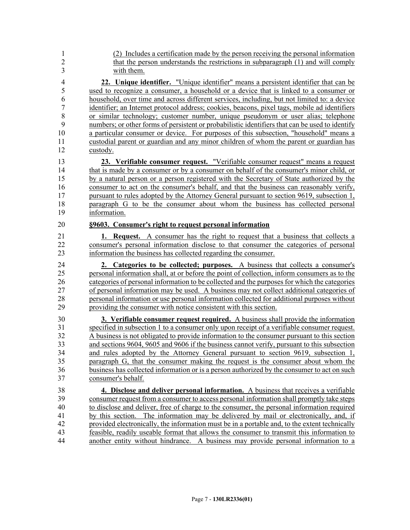| (2) Includes a certification made by the person receiving the personal information<br>that the person understands the restrictions in subparagraph (1) and will comply<br>with them.                                                                                                                                                                                                                                                                                                                                                                                                                                                                                                                                                                                                                                                                   |
|--------------------------------------------------------------------------------------------------------------------------------------------------------------------------------------------------------------------------------------------------------------------------------------------------------------------------------------------------------------------------------------------------------------------------------------------------------------------------------------------------------------------------------------------------------------------------------------------------------------------------------------------------------------------------------------------------------------------------------------------------------------------------------------------------------------------------------------------------------|
| 22. Unique identifier. "Unique identifier" means a persistent identifier that can be<br>used to recognize a consumer, a household or a device that is linked to a consumer or<br>household, over time and across different services, including, but not limited to: a device<br>identifier; an Internet protocol address; cookies, beacons, pixel tags, mobile ad identifiers<br>or similar technology; customer number, unique pseudonym or user alias; telephone<br>numbers; or other forms of persistent or probabilistic identifiers that can be used to identify<br>a particular consumer or device. For purposes of this subsection, "household" means a<br>custodial parent or guardian and any minor children of whom the parent or guardian has<br>custody.<br>23. Verifiable consumer request. "Verifiable consumer request" means a request |
| that is made by a consumer or by a consumer on behalf of the consumer's minor child, or<br>by a natural person or a person registered with the Secretary of State authorized by the<br>consumer to act on the consumer's behalf, and that the business can reasonably verify,<br>pursuant to rules adopted by the Attorney General pursuant to section 9619, subsection 1,<br>paragraph G to be the consumer about whom the business has collected personal<br>information.                                                                                                                                                                                                                                                                                                                                                                            |
| §9603. Consumer's right to request personal information<br><b>1. Request.</b> A consumer has the right to request that a business that collects a<br>consumer's personal information disclose to that consumer the categories of personal<br>information the business has collected regarding the consumer.                                                                                                                                                                                                                                                                                                                                                                                                                                                                                                                                            |
| 2. Categories to be collected; purposes. A business that collects a consumer's<br>personal information shall, at or before the point of collection, inform consumers as to the<br>categories of personal information to be collected and the purposes for which the categories                                                                                                                                                                                                                                                                                                                                                                                                                                                                                                                                                                         |
| of personal information may be used. A business may not collect additional categories of<br>personal information or use personal information collected for additional purposes without<br>providing the consumer with notice consistent with this section.                                                                                                                                                                                                                                                                                                                                                                                                                                                                                                                                                                                             |
| 3. Verifiable consumer request required. A business shall provide the information                                                                                                                                                                                                                                                                                                                                                                                                                                                                                                                                                                                                                                                                                                                                                                      |
| specified in subsection 1 to a consumer only upon receipt of a verifiable consumer request.<br>A business is not obligated to provide information to the consumer pursuant to this section<br>and sections 9604, 9605 and 9606 if the business cannot verify, pursuant to this subsection<br>and rules adopted by the Attorney General pursuant to section 9619, subsection 1,<br>paragraph G, that the consumer making the request is the consumer about whom the<br>business has collected information or is a person authorized by the consumer to act on such<br>consumer's behalf.                                                                                                                                                                                                                                                                |
| 4. Disclose and deliver personal information. A business that receives a verifiable                                                                                                                                                                                                                                                                                                                                                                                                                                                                                                                                                                                                                                                                                                                                                                    |
| consumer request from a consumer to access personal information shall promptly take steps                                                                                                                                                                                                                                                                                                                                                                                                                                                                                                                                                                                                                                                                                                                                                              |
| to disclose and deliver, free of charge to the consumer, the personal information required                                                                                                                                                                                                                                                                                                                                                                                                                                                                                                                                                                                                                                                                                                                                                             |
| by this section. The information may be delivered by mail or electronically, and, if                                                                                                                                                                                                                                                                                                                                                                                                                                                                                                                                                                                                                                                                                                                                                                   |
| provided electronically, the information must be in a portable and, to the extent technically<br>feasible, readily useable format that allows the consumer to transmit this information to                                                                                                                                                                                                                                                                                                                                                                                                                                                                                                                                                                                                                                                             |
|                                                                                                                                                                                                                                                                                                                                                                                                                                                                                                                                                                                                                                                                                                                                                                                                                                                        |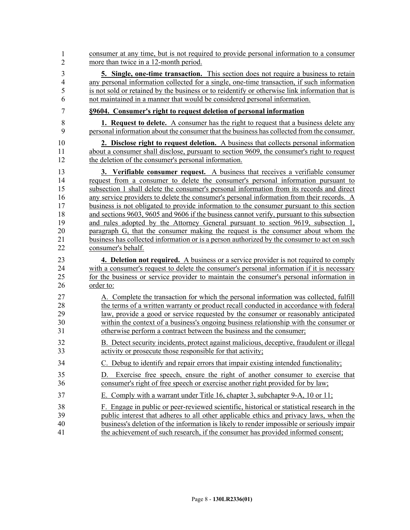| 1              | consumer at any time, but is not required to provide personal information to a consumer                                                                             |
|----------------|---------------------------------------------------------------------------------------------------------------------------------------------------------------------|
| $\overline{2}$ | more than twice in a 12-month period.                                                                                                                               |
| $\overline{3}$ | <b>5. Single, one-time transaction.</b> This section does not require a business to retain                                                                          |
| $\overline{4}$ | any personal information collected for a single, one-time transaction, if such information                                                                          |
| 5              | is not sold or retained by the business or to reidentify or otherwise link information that is                                                                      |
| 6              | not maintained in a manner that would be considered personal information.                                                                                           |
| 7              | §9604. Consumer's right to request deletion of personal information                                                                                                 |
| 8              | <b>1. Request to delete.</b> A consumer has the right to request that a business delete any                                                                         |
| 9              | personal information about the consumer that the business has collected from the consumer.                                                                          |
| 10             | 2. Disclose right to request deletion. A business that collects personal information                                                                                |
| 11             | about a consumer shall disclose, pursuant to section 9609, the consumer's right to request                                                                          |
| 12             | the deletion of the consumer's personal information.                                                                                                                |
| 13             | 3. Verifiable consumer request. A business that receives a verifiable consumer                                                                                      |
| 14             | request from a consumer to delete the consumer's personal information pursuant to                                                                                   |
| 15             | subsection 1 shall delete the consumer's personal information from its records and direct                                                                           |
| 16             | any service providers to delete the consumer's personal information from their records. A                                                                           |
| 17             | business is not obligated to provide information to the consumer pursuant to this section                                                                           |
| 18             | and sections 9603, 9605 and 9606 if the business cannot verify, pursuant to this subsection                                                                         |
| 19             | and rules adopted by the Attorney General pursuant to section 9619, subsection 1,                                                                                   |
| 20             | paragraph G, that the consumer making the request is the consumer about whom the                                                                                    |
| 21             | business has collected information or is a person authorized by the consumer to act on such                                                                         |
| 22             | consumer's behalf.                                                                                                                                                  |
| 23             | <b>4. Deletion not required.</b> A business or a service provider is not required to comply                                                                         |
| 24             | with a consumer's request to delete the consumer's personal information if it is necessary                                                                          |
| 25             | for the business or service provider to maintain the consumer's personal information in                                                                             |
| 26             | order to:                                                                                                                                                           |
| 27             | A. Complete the transaction for which the personal information was collected, fulfill                                                                               |
| 28             | the terms of a written warranty or product recall conducted in accordance with federal                                                                              |
| 29             | law, provide a good or service requested by the consumer or reasonably anticipated                                                                                  |
| 30             | within the context of a business's ongoing business relationship with the consumer or                                                                               |
| 31             | otherwise perform a contract between the business and the consumer;                                                                                                 |
| 32             | B. Detect security incidents, protect against malicious, deceptive, fraudulent or illegal                                                                           |
| 33             | activity or prosecute those responsible for that activity;                                                                                                          |
| 34             | C. Debug to identify and repair errors that impair existing intended functionality;                                                                                 |
| 35<br>36       | Exercise free speech, ensure the right of another consumer to exercise that<br>D.<br>consumer's right of free speech or exercise another right provided for by law; |
| 37             | E. Comply with a warrant under Title 16, chapter 3, subchapter 9-A, 10 or 11;                                                                                       |
| 38             | F. Engage in public or peer-reviewed scientific, historical or statistical research in the                                                                          |
| 39             | public interest that adheres to all other applicable ethics and privacy laws, when the                                                                              |
| 40             | business's deletion of the information is likely to render impossible or seriously impair                                                                           |
| 41             | the achievement of such research, if the consumer has provided informed consent;                                                                                    |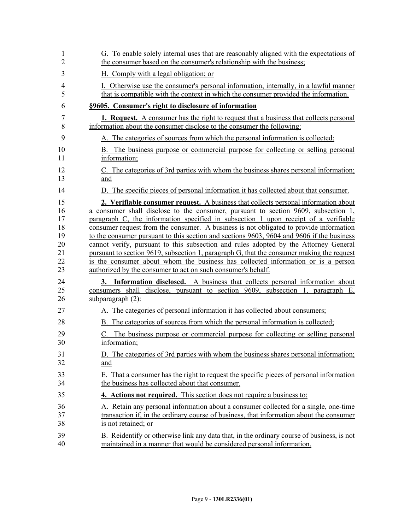| 1  | G. To enable solely internal uses that are reasonably aligned with the expectations of        |
|----|-----------------------------------------------------------------------------------------------|
| 2  | the consumer based on the consumer's relationship with the business;                          |
| 3  | H. Comply with a legal obligation; or                                                         |
| 4  | I. Otherwise use the consumer's personal information, internally, in a lawful manner          |
| 5  | that is compatible with the context in which the consumer provided the information.           |
| 6  | §9605. Consumer's right to disclosure of information                                          |
| 7  | <b>1. Request.</b> A consumer has the right to request that a business that collects personal |
| 8  | information about the consumer disclose to the consumer the following:                        |
| 9  | A. The categories of sources from which the personal information is collected;                |
| 10 | B. The business purpose or commercial purpose for collecting or selling personal              |
| 11 | information;                                                                                  |
| 12 | C. The categories of 3rd parties with whom the business shares personal information;          |
| 13 | and                                                                                           |
| 14 | D. The specific pieces of personal information it has collected about that consumer.          |
| 15 | 2. Verifiable consumer request. A business that collects personal information about           |
| 16 | a consumer shall disclose to the consumer, pursuant to section 9609, subsection 1,            |
| 17 | paragraph C, the information specified in subsection 1 upon receipt of a verifiable           |
| 18 | consumer request from the consumer. A business is not obligated to provide information        |
| 19 | to the consumer pursuant to this section and sections 9603, 9604 and 9606 if the business     |
| 20 | cannot verify, pursuant to this subsection and rules adopted by the Attorney General          |
| 21 | pursuant to section 9619, subsection 1, paragraph G, that the consumer making the request     |
| 22 | is the consumer about whom the business has collected information or is a person              |
| 23 | authorized by the consumer to act on such consumer's behalf.                                  |
| 24 | 3. Information disclosed. A business that collects personal information about                 |
| 25 | consumers shall disclose, pursuant to section 9609, subsection 1, paragraph E,                |
| 26 | subparagraph $(2)$ :                                                                          |
| 27 | A. The categories of personal information it has collected about consumers;                   |
| 28 | B. The categories of sources from which the personal information is collected;                |
| 29 | The business purpose or commercial purpose for collecting or selling personal                 |
| 30 | information;                                                                                  |
| 31 | D. The categories of 3rd parties with whom the business shares personal information;          |
| 32 | and                                                                                           |
| 33 | E. That a consumer has the right to request the specific pieces of personal information       |
| 34 | the business has collected about that consumer.                                               |
| 35 | 4. Actions not required. This section does not require a business to:                         |
| 36 | A. Retain any personal information about a consumer collected for a single, one-time          |
| 37 | transaction if, in the ordinary course of business, that information about the consumer       |
| 38 | is not retained; or                                                                           |
| 39 | B. Reidentify or otherwise link any data that, in the ordinary course of business, is not     |
| 40 | maintained in a manner that would be considered personal information.                         |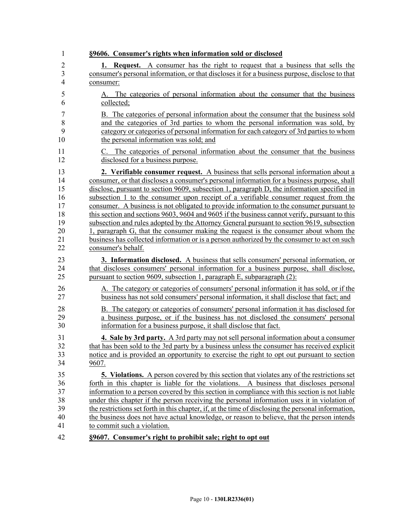| $\mathbf{1}$   | §9606. Consumer's rights when information sold or disclosed                                         |
|----------------|-----------------------------------------------------------------------------------------------------|
| $\overline{2}$ | <b>1. Request.</b> A consumer has the right to request that a business that sells the               |
| $\overline{3}$ | consumer's personal information, or that discloses it for a business purpose, disclose to that      |
| $\overline{4}$ | consumer:                                                                                           |
| 5              | A. The categories of personal information about the consumer that the business                      |
| 6              | collected;                                                                                          |
| $\overline{7}$ | B. The categories of personal information about the consumer that the business sold                 |
| 8              | and the categories of 3rd parties to whom the personal information was sold, by                     |
| 9              | category or categories of personal information for each category of 3rd parties to whom             |
| 10             | the personal information was sold; and                                                              |
| 11             | C. The categories of personal information about the consumer that the business                      |
| 12             | disclosed for a business purpose.                                                                   |
| 13             | <b>2. Verifiable consumer request.</b> A business that sells personal information about a           |
| 14             | consumer, or that discloses a consumer's personal information for a business purpose, shall         |
| 15             | disclose, pursuant to section 9609, subsection 1, paragraph D, the information specified in         |
| 16             | subsection 1 to the consumer upon receipt of a verifiable consumer request from the                 |
| 17             | consumer. A business is not obligated to provide information to the consumer pursuant to            |
| 18             | this section and sections 9603, 9604 and 9605 if the business cannot verify, pursuant to this       |
| 19             | subsection and rules adopted by the Attorney General pursuant to section 9619, subsection           |
| 20             | 1, paragraph G, that the consumer making the request is the consumer about whom the                 |
| 21             | business has collected information or is a person authorized by the consumer to act on such         |
| 22             | consumer's behalf.                                                                                  |
| 23             | <b>3. Information disclosed.</b> A business that sells consumers' personal information, or          |
| 24             | that discloses consumers' personal information for a business purpose, shall disclose,              |
| 25             | pursuant to section 9609, subsection 1, paragraph E, subparagraph (2):                              |
| 26             | A. The category or categories of consumers' personal information it has sold, or if the             |
| 27             | business has not sold consumers' personal information, it shall disclose that fact; and             |
| 28             | B. The category or categories of consumers' personal information it has disclosed for               |
| 29             | a business purpose, or if the business has not disclosed the consumers' personal                    |
| 30             | information for a business purpose, it shall disclose that fact.                                    |
| 31             | <b>4. Sale by 3rd party.</b> A 3rd party may not sell personal information about a consumer         |
| 32             | that has been sold to the 3rd party by a business unless the consumer has received explicit         |
| 33             | notice and is provided an opportunity to exercise the right to opt out pursuant to section          |
| 34             | 9607.                                                                                               |
| 35             | <b>5.</b> Violations. A person covered by this section that violates any of the restrictions set    |
| 36             | forth in this chapter is liable for the violations. A business that discloses personal              |
| 37             | information to a person covered by this section in compliance with this section is not liable       |
| 38             | under this chapter if the person receiving the personal information uses it in violation of         |
| 39             | the restrictions set forth in this chapter, if, at the time of disclosing the personal information, |
| 40             | the business does not have actual knowledge, or reason to believe, that the person intends          |
| 41             | to commit such a violation.                                                                         |
| 42             | §9607. Consumer's right to prohibit sale; right to opt out                                          |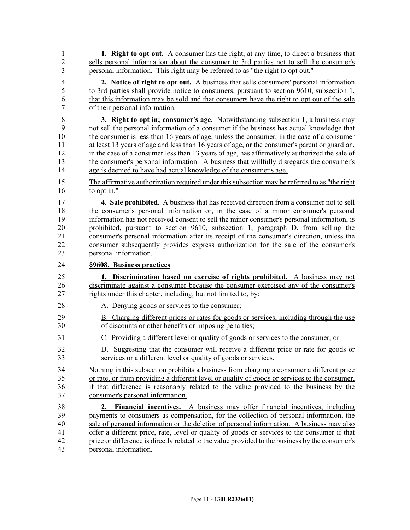| 1              | <b>1. Right to opt out.</b> A consumer has the right, at any time, to direct a business that    |
|----------------|-------------------------------------------------------------------------------------------------|
| $\overline{2}$ | sells personal information about the consumer to 3rd parties not to sell the consumer's         |
| 3              | personal information. This right may be referred to as "the right to opt out."                  |
| $\overline{4}$ | 2. Notice of right to opt out. A business that sells consumers' personal information            |
| 5              | to 3rd parties shall provide notice to consumers, pursuant to section 9610, subsection 1,       |
| 6              | that this information may be sold and that consumers have the right to opt out of the sale      |
| $\overline{7}$ | of their personal information.                                                                  |
| 8              | <b>3. Right to opt in; consumer's age.</b> Notwithstanding subsection 1, a business may         |
| 9              | not sell the personal information of a consumer if the business has actual knowledge that       |
| 10             | the consumer is less than 16 years of age, unless the consumer, in the case of a consumer       |
| 11             | at least 13 years of age and less than 16 years of age, or the consumer's parent or guardian,   |
| 12             | in the case of a consumer less than 13 years of age, has affirmatively authorized the sale of   |
| 13             | the consumer's personal information. A business that willfully disregards the consumer's        |
| 14             | age is deemed to have had actual knowledge of the consumer's age.                               |
|                |                                                                                                 |
| 15             | The affirmative authorization required under this subsection may be referred to as "the right"  |
| 16             | to opt in."                                                                                     |
| 17             | <b>4. Sale prohibited.</b> A business that has received direction from a consumer not to sell   |
| 18             | the consumer's personal information or, in the case of a minor consumer's personal              |
| 19             | information has not received consent to sell the minor consumer's personal information, is      |
| 20             | prohibited, pursuant to section 9610, subsection 1, paragraph D, from selling the               |
| 21             | consumer's personal information after its receipt of the consumer's direction, unless the       |
| 22             | consumer subsequently provides express authorization for the sale of the consumer's             |
| 23             | personal information.                                                                           |
| 24             | §9608. Business practices                                                                       |
|                |                                                                                                 |
| 25             | 1. Discrimination based on exercise of rights prohibited. A business may not                    |
| 26             | discriminate against a consumer because the consumer exercised any of the consumer's            |
| 27             | rights under this chapter, including, but not limited to, by:                                   |
| 28             | A. Denying goods or services to the consumer;                                                   |
| 29             | B. Charging different prices or rates for goods or services, including through the use          |
| 30             | of discounts or other benefits or imposing penalties;                                           |
| 31             | C. Providing a different level or quality of goods or services to the consumer; or              |
| 32             | D. Suggesting that the consumer will receive a different price or rate for goods or             |
| 33             | services or a different level or quality of goods or services.                                  |
|                |                                                                                                 |
| 34             | Nothing in this subsection prohibits a business from charging a consumer a different price      |
| 35             | or rate, or from providing a different level or quality of goods or services to the consumer,   |
| 36             | if that difference is reasonably related to the value provided to the business by the           |
| 37             | consumer's personal information.                                                                |
| 38             | 2. Financial incentives. A business may offer financial incentives, including                   |
| 39             | payments to consumers as compensation, for the collection of personal information, the          |
| 40             | sale of personal information or the deletion of personal information. A business may also       |
| 41             | offer a different price, rate, level or quality of goods or services to the consumer if that    |
| 42             | price or difference is directly related to the value provided to the business by the consumer's |
| 43             | personal information.                                                                           |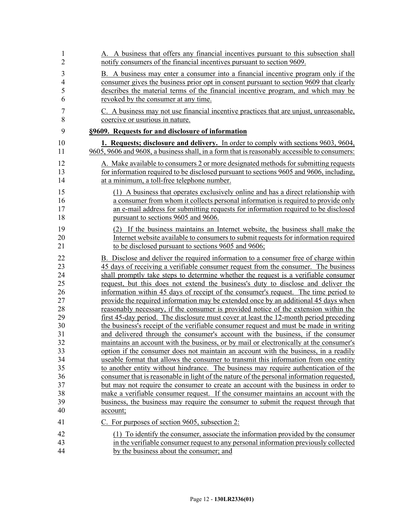| 1              | A. A business that offers any financial incentives pursuant to this subsection shall         |
|----------------|----------------------------------------------------------------------------------------------|
| $\overline{2}$ | notify consumers of the financial incentives pursuant to section 9609.                       |
| 3              | B. A business may enter a consumer into a financial incentive program only if the            |
| $\overline{4}$ | consumer gives the business prior opt in consent pursuant to section 9609 that clearly       |
| 5              | describes the material terms of the financial incentive program, and which may be            |
| 6              | revoked by the consumer at any time.                                                         |
| 7              | C. A business may not use financial incentive practices that are unjust, unreasonable,       |
| 8              | coercive or usurious in nature.                                                              |
| 9              | §9609. Requests for and disclosure of information                                            |
| 10             | 1. Requests; disclosure and delivery. In order to comply with sections 9603, 9604,           |
| 11             | 9605, 9606 and 9608, a business shall, in a form that is reasonably accessible to consumers: |
| 12             | A. Make available to consumers 2 or more designated methods for submitting requests          |
| 13             | for information required to be disclosed pursuant to sections 9605 and 9606, including,      |
| 14             | at a minimum, a toll-free telephone number.                                                  |
| 15             | (1) A business that operates exclusively online and has a direct relationship with           |
| 16             | a consumer from whom it collects personal information is required to provide only            |
| 17             | an e-mail address for submitting requests for information required to be disclosed           |
| 18             | pursuant to sections 9605 and 9606.                                                          |
| 19             | (2) If the business maintains an Internet website, the business shall make the               |
| 20             | Internet website available to consumers to submit requests for information required          |
| 21             | to be disclosed pursuant to sections 9605 and 9606;                                          |
| 22             | B. Disclose and deliver the required information to a consumer free of charge within         |
| 23             | 45 days of receiving a verifiable consumer request from the consumer. The business           |
| 24             | shall promptly take steps to determine whether the request is a verifiable consumer          |
| 25             | request, but this does not extend the business's duty to disclose and deliver the            |
| 26             | information within 45 days of receipt of the consumer's request. The time period to          |
| 27             | provide the required information may be extended once by an additional 45 days when          |
| 28             | reasonably necessary, if the consumer is provided notice of the extension within the         |
| 29             | first 45-day period. The disclosure must cover at least the 12-month period preceding        |
| 30             | the business's receipt of the verifiable consumer request and must be made in writing        |
| 31             | and delivered through the consumer's account with the business, if the consumer              |
| 32             | maintains an account with the business, or by mail or electronically at the consumer's       |
| 33             | option if the consumer does not maintain an account with the business, in a readily          |
| 34             | useable format that allows the consumer to transmit this information from one entity         |
| 35             | to another entity without hindrance. The business may require authentication of the          |
| 36             | consumer that is reasonable in light of the nature of the personal information requested,    |
| 37             | but may not require the consumer to create an account with the business in order to          |
| 38             | make a verifiable consumer request. If the consumer maintains an account with the            |
| 39             | business, the business may require the consumer to submit the request through that           |
| 40             | account;                                                                                     |
| 41             | C. For purposes of section 9605, subsection 2:                                               |
| 42             | (1) To identify the consumer, associate the information provided by the consumer             |
| 43             | in the verifiable consumer request to any personal information previously collected          |
| 44             | by the business about the consumer; and                                                      |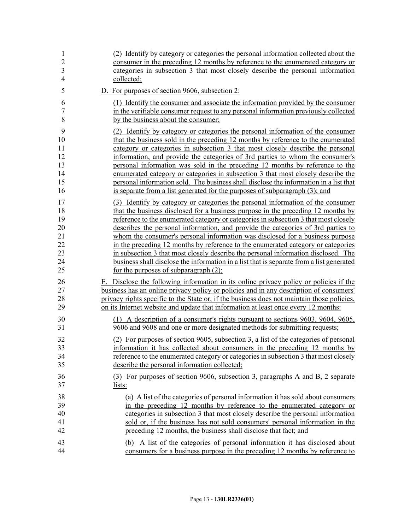| $\mathbf{1}$<br>$\overline{2}$ | (2) Identify by category or categories the personal information collected about the<br>consumer in the preceding 12 months by reference to the enumerated category or     |
|--------------------------------|---------------------------------------------------------------------------------------------------------------------------------------------------------------------------|
| 3                              | categories in subsection 3 that most closely describe the personal information                                                                                            |
| $\overline{4}$                 | collected;                                                                                                                                                                |
| 5                              | D. For purposes of section 9606, subsection 2:                                                                                                                            |
| 6                              | (1) Identify the consumer and associate the information provided by the consumer                                                                                          |
| $\overline{7}$                 | in the verifiable consumer request to any personal information previously collected                                                                                       |
| 8                              | by the business about the consumer;                                                                                                                                       |
| 9                              | (2) Identify by category or categories the personal information of the consumer                                                                                           |
| 10                             | that the business sold in the preceding 12 months by reference to the enumerated                                                                                          |
| 11                             | category or categories in subsection 3 that most closely describe the personal                                                                                            |
| 12                             | information, and provide the categories of 3rd parties to whom the consumer's                                                                                             |
| 13                             | personal information was sold in the preceding 12 months by reference to the                                                                                              |
| 14<br>15                       | enumerated category or categories in subsection 3 that most closely describe the<br>personal information sold. The business shall disclose the information in a list that |
| 16                             | is separate from a list generated for the purposes of subparagraph (3); and                                                                                               |
|                                |                                                                                                                                                                           |
| 17                             | (3) Identify by category or categories the personal information of the consumer                                                                                           |
| 18                             | that the business disclosed for a business purpose in the preceding 12 months by<br>reference to the enumerated category or categories in subsection 3 that most closely  |
| 19<br>20                       | describes the personal information, and provide the categories of 3rd parties to                                                                                          |
| 21                             | whom the consumer's personal information was disclosed for a business purpose                                                                                             |
| 22                             | in the preceding 12 months by reference to the enumerated category or categories                                                                                          |
| 23                             | in subsection 3 that most closely describe the personal information disclosed. The                                                                                        |
| 24                             | business shall disclose the information in a list that is separate from a list generated                                                                                  |
| 25                             | for the purposes of subparagraph $(2)$ ;                                                                                                                                  |
| 26                             | E. Disclose the following information in its online privacy policy or policies if the                                                                                     |
| 27                             | business has an online privacy policy or policies and in any description of consumers'                                                                                    |
| 28                             | privacy rights specific to the State or, if the business does not maintain those policies,                                                                                |
| 29                             | on its Internet website and update that information at least once every 12 months:                                                                                        |
| 30                             | (1) A description of a consumer's rights pursuant to sections 9603, 9604, 9605,                                                                                           |
| 31                             | 9606 and 9608 and one or more designated methods for submitting requests;                                                                                                 |
| 32                             | (2) For purposes of section 9605, subsection 3, a list of the categories of personal                                                                                      |
| 33                             | information it has collected about consumers in the preceding 12 months by                                                                                                |
| 34                             | reference to the enumerated category or categories in subsection 3 that most closely                                                                                      |
| 35                             | describe the personal information collected;                                                                                                                              |
| 36                             | (3) For purposes of section 9606, subsection 3, paragraphs A and B, 2 separate                                                                                            |
| 37                             | lists:                                                                                                                                                                    |
| 38                             | (a) A list of the categories of personal information it has sold about consumers                                                                                          |
| 39                             | in the preceding 12 months by reference to the enumerated category or                                                                                                     |
| 40                             | categories in subsection 3 that most closely describe the personal information                                                                                            |
| 41                             | sold or, if the business has not sold consumers' personal information in the                                                                                              |
| 42                             | preceding 12 months, the business shall disclose that fact; and                                                                                                           |
| 43                             | (b) A list of the categories of personal information it has disclosed about                                                                                               |
| 44                             | consumers for a business purpose in the preceding 12 months by reference to                                                                                               |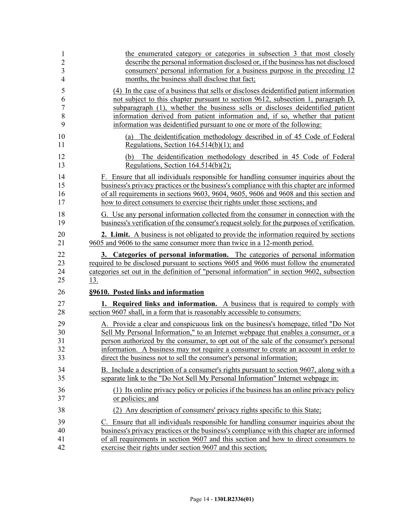| $\mathbf{1}$   | the enumerated category or categories in subsection 3 that most closely                                           |
|----------------|-------------------------------------------------------------------------------------------------------------------|
| $\overline{2}$ | describe the personal information disclosed or, if the business has not disclosed                                 |
| 3              | consumers' personal information for a business purpose in the preceding 12                                        |
| $\overline{4}$ | months, the business shall disclose that fact;                                                                    |
| 5              | (4) In the case of a business that sells or discloses deidentified patient information                            |
| 6              | not subject to this chapter pursuant to section 9612, subsection 1, paragraph D,                                  |
| $\overline{7}$ | subparagraph (1), whether the business sells or discloses deidentified patient                                    |
| 8              | information derived from patient information and, if so, whether that patient                                     |
| 9              | information was deidentified pursuant to one or more of the following:                                            |
| 10             | (a) The deidentification methodology described in of 45 Code of Federal                                           |
| 11             | Regulations, Section $164.514(b)(1)$ ; and                                                                        |
| 12<br>13       | The deidentification methodology described in 45 Code of Federal<br>(b)<br>Regulations, Section $164.514(b)(2)$ ; |
| 14             | F. Ensure that all individuals responsible for handling consumer inquiries about the                              |
| 15             | business's privacy practices or the business's compliance with this chapter are informed                          |
| 16             | of all requirements in sections 9603, 9604, 9605, 9606 and 9608 and this section and                              |
| 17             | how to direct consumers to exercise their rights under those sections; and                                        |
| 18             | G. Use any personal information collected from the consumer in connection with the                                |
| 19             | business's verification of the consumer's request solely for the purposes of verification.                        |
| 20             | 2. Limit. A business is not obligated to provide the information required by sections                             |
| 21             | 9605 and 9606 to the same consumer more than twice in a 12-month period.                                          |
| 22             | 3. Categories of personal information. The categories of personal information                                     |
| 23             | required to be disclosed pursuant to sections 9605 and 9606 must follow the enumerated                            |
| 24             | categories set out in the definition of "personal information" in section 9602, subsection                        |
| 25             | <u>13.</u>                                                                                                        |
| 26             | §9610. Posted links and information                                                                               |
| 27             | <b>1. Required links and information.</b> A business that is required to comply with                              |
| 28             | section 9607 shall, in a form that is reasonably accessible to consumers:                                         |
| 29             | A. Provide a clear and conspicuous link on the business's homepage, titled "Do Not                                |
| 30             | Sell My Personal Information," to an Internet webpage that enables a consumer, or a                               |
| 31             | person authorized by the consumer, to opt out of the sale of the consumer's personal                              |
| 32             | information. A business may not require a consumer to create an account in order to                               |
| 33             | direct the business not to sell the consumer's personal information;                                              |
| 34             | B. Include a description of a consumer's rights pursuant to section 9607, along with a                            |
| 35             | separate link to the "Do Not Sell My Personal Information" Internet webpage in:                                   |
| 36             | (1) Its online privacy policy or policies if the business has an online privacy policy                            |
| 37             | or policies; and                                                                                                  |
| 38             | (2) Any description of consumers' privacy rights specific to this State;                                          |
| 39             | C. Ensure that all individuals responsible for handling consumer inquiries about the                              |
| 40             | business's privacy practices or the business's compliance with this chapter are informed                          |
| 41             | of all requirements in section 9607 and this section and how to direct consumers to                               |
| 42             | exercise their rights under section 9607 and this section;                                                        |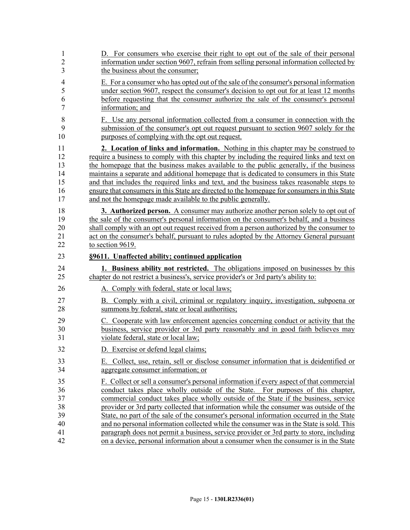| $\mathbf{1}$   | D. For consumers who exercise their right to opt out of the sale of their personal           |
|----------------|----------------------------------------------------------------------------------------------|
| $\overline{2}$ | information under section 9607, refrain from selling personal information collected by       |
| 3              | the business about the consumer;                                                             |
| 4              | E. For a consumer who has opted out of the sale of the consumer's personal information       |
| 5              | under section 9607, respect the consumer's decision to opt out for at least 12 months        |
| 6              | before requesting that the consumer authorize the sale of the consumer's personal            |
| 7              | information; and                                                                             |
| 8              | F. Use any personal information collected from a consumer in connection with the             |
| 9              | submission of the consumer's opt out request pursuant to section 9607 solely for the         |
| 10             | purposes of complying with the opt out request.                                              |
| 11             | 2. Location of links and information. Nothing in this chapter may be construed to            |
| 12             | require a business to comply with this chapter by including the required links and text on   |
| 13             | the homepage that the business makes available to the public generally, if the business      |
| 14             | maintains a separate and additional homepage that is dedicated to consumers in this State    |
| 15             | and that includes the required links and text, and the business takes reasonable steps to    |
| 16             | ensure that consumers in this State are directed to the homepage for consumers in this State |
| 17             | and not the homepage made available to the public generally.                                 |
| 18             | 3. Authorized person. A consumer may authorize another person solely to opt out of           |
| 19             | the sale of the consumer's personal information on the consumer's behalf, and a business     |
| 20             | shall comply with an opt out request received from a person authorized by the consumer to    |
| 21             | act on the consumer's behalf, pursuant to rules adopted by the Attorney General pursuant     |
| 22             | to section 9619.                                                                             |
| 23             | §9611. Unaffected ability; continued application                                             |
| 24             | 1. Business ability not restricted. The obligations imposed on businesses by this            |
| 25             | chapter do not restrict a business's, service provider's or 3rd party's ability to:          |
| 26             | A. Comply with federal, state or local laws;                                                 |
| 27             | B. Comply with a civil, criminal or regulatory inquiry, investigation, subpoena or           |
| 28             | summons by federal, state or local authorities;                                              |
| 29             | C. Cooperate with law enforcement agencies concerning conduct or activity that the           |
| 30             | business, service provider or 3rd party reasonably and in good faith believes may            |
| 31             | violate federal, state or local law;                                                         |
| 32             | D. Exercise or defend legal claims;                                                          |
| 33             | E. Collect, use, retain, sell or disclose consumer information that is deidentified or       |
| 34             | aggregate consumer information; or                                                           |
| 35             | F. Collect or sell a consumer's personal information if every aspect of that commercial      |
| 36             | conduct takes place wholly outside of the State. For purposes of this chapter,               |
| 37             | commercial conduct takes place wholly outside of the State if the business, service          |
| 38             | provider or 3rd party collected that information while the consumer was outside of the       |
| 39             | State, no part of the sale of the consumer's personal information occurred in the State      |
| 40             | and no personal information collected while the consumer was in the State is sold. This      |
| 41             | paragraph does not permit a business, service provider or 3rd party to store, including      |
| 42             | on a device, personal information about a consumer when the consumer is in the State         |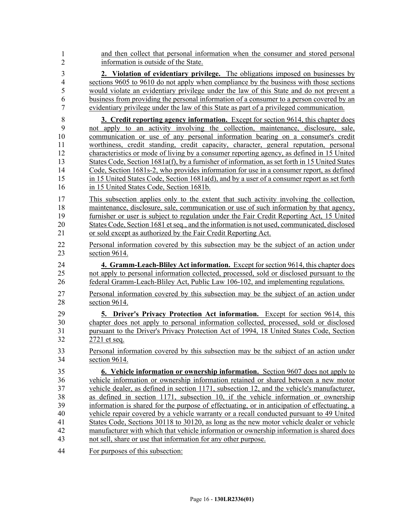| $\mathbf{1}$   | and then collect that personal information when the consumer and stored personal               |
|----------------|------------------------------------------------------------------------------------------------|
| $\overline{2}$ | information is outside of the State.                                                           |
| 3              | 2. Violation of evidentiary privilege. The obligations imposed on businesses by                |
| $\overline{4}$ | sections 9605 to 9610 do not apply when compliance by the business with those sections         |
| 5              | would violate an evidentiary privilege under the law of this State and do not prevent a        |
| 6              | business from providing the personal information of a consumer to a person covered by an       |
| $\overline{7}$ | evidentiary privilege under the law of this State as part of a privileged communication.       |
| 8              | <b>3. Credit reporting agency information.</b> Except for section 9614, this chapter does      |
| 9              | not apply to an activity involving the collection, maintenance, disclosure, sale,              |
| 10             | communication or use of any personal information bearing on a consumer's credit                |
| 11             | worthiness, credit standing, credit capacity, character, general reputation, personal          |
| 12             | characteristics or mode of living by a consumer reporting agency, as defined in 15 United      |
| 13             | States Code, Section 1681a(f), by a furnisher of information, as set forth in 15 United States |
| 14             | Code, Section 1681s-2, who provides information for use in a consumer report, as defined       |
| 15             | in 15 United States Code, Section 1681a(d), and by a user of a consumer report as set forth    |
| 16             | in 15 United States Code, Section 1681b.                                                       |
| 17             | This subsection applies only to the extent that such activity involving the collection,        |
| 18             | maintenance, disclosure, sale, communication or use of such information by that agency,        |
| 19             | furnisher or user is subject to regulation under the Fair Credit Reporting Act, 15 United      |
| 20             | States Code, Section 1681 et seq., and the information is not used, communicated, disclosed    |
| 21             | or sold except as authorized by the Fair Credit Reporting Act.                                 |
| 22             | Personal information covered by this subsection may be the subject of an action under          |
| 23             | section 9614.                                                                                  |
| 24             | 4. Gramm-Leach-Bliley Act information. Except for section 9614, this chapter does              |
| 25             | not apply to personal information collected, processed, sold or disclosed pursuant to the      |
| 26             | federal Gramm-Leach-Bliley Act, Public Law 106-102, and implementing regulations.              |
| 27             | Personal information covered by this subsection may be the subject of an action under          |
| 28             | section 9614.                                                                                  |
| 29             | 5. Driver's Privacy Protection Act information. Except for section 9614, this                  |
| 30             | chapter does not apply to personal information collected, processed, sold or disclosed         |
| 31             | pursuant to the Driver's Privacy Protection Act of 1994, 18 United States Code, Section        |
| 32             | 2721 et seq.                                                                                   |
| 33             | Personal information covered by this subsection may be the subject of an action under          |
| 34             | section 9614.                                                                                  |
| 35             | 6. Vehicle information or ownership information. Section 9607 does not apply to                |
| 36             | vehicle information or ownership information retained or shared between a new motor            |
| 37             | vehicle dealer, as defined in section 1171, subsection 12, and the vehicle's manufacturer,     |
| 38             | as defined in section 1171, subsection 10, if the vehicle information or ownership             |
| 39             | information is shared for the purpose of effectuating, or in anticipation of effectuating, a   |
| 40             | vehicle repair covered by a vehicle warranty or a recall conducted pursuant to 49 United       |
| 41             | States Code, Sections 30118 to 30120, as long as the new motor vehicle dealer or vehicle       |
| 42             | manufacturer with which that vehicle information or ownership information is shared does       |
| 43             | not sell, share or use that information for any other purpose.                                 |
| 44             | For purposes of this subsection:                                                               |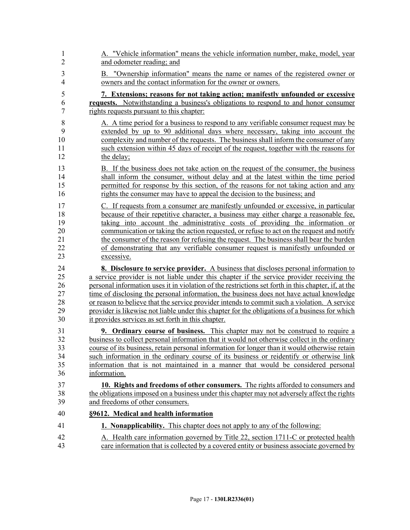| 1              | A. "Vehicle information" means the vehicle information number, make, model, year                    |
|----------------|-----------------------------------------------------------------------------------------------------|
| $\overline{2}$ | and odometer reading; and                                                                           |
| 3              | B. "Ownership information" means the name or names of the registered owner or                       |
| $\overline{4}$ | owners and the contact information for the owner or owners.                                         |
| 5              | 7. Extensions; reasons for not taking action; manifestly unfounded or excessive                     |
| 6              | <b>requests.</b> Notwithstanding a business's obligations to respond to and honor consumer          |
| $\overline{7}$ | rights requests pursuant to this chapter:                                                           |
| 8              | A. A time period for a business to respond to any verifiable consumer request may be                |
| 9              | extended by up to 90 additional days where necessary, taking into account the                       |
| 10             | complexity and number of the requests. The business shall inform the consumer of any                |
| 11             | such extension within 45 days of receipt of the request, together with the reasons for              |
| 12             | the delay;                                                                                          |
| 13             | B. If the business does not take action on the request of the consumer, the business                |
| 14             | shall inform the consumer, without delay and at the latest within the time period                   |
| 15             | permitted for response by this section, of the reasons for not taking action and any                |
| 16             | rights the consumer may have to appeal the decision to the business; and                            |
| 17             | C. If requests from a consumer are manifestly unfounded or excessive, in particular                 |
| 18             | because of their repetitive character, a business may either charge a reasonable fee,               |
| 19             | taking into account the administrative costs of providing the information or                        |
| 20             | communication or taking the action requested, or refuse to act on the request and notify            |
| 21             | the consumer of the reason for refusing the request. The business shall bear the burden             |
| 22             | of demonstrating that any verifiable consumer request is manifestly unfounded or                    |
| 23             | excessive.                                                                                          |
| 24             | <b>8.</b> Disclosure to service provider. A business that discloses personal information to         |
| 25             | a service provider is not liable under this chapter if the service provider receiving the           |
| 26             | personal information uses it in violation of the restrictions set forth in this chapter, if, at the |
| 27             | time of disclosing the personal information, the business does not have actual knowledge            |
| 28             | or reason to believe that the service provider intends to commit such a violation. A service        |
| 29             | provider is likewise not liable under this chapter for the obligations of a business for which      |
| 30             | it provides services as set forth in this chapter.                                                  |
| 31             | <b>9. Ordinary course of business.</b> This chapter may not be construed to require a               |
| 32             | business to collect personal information that it would not otherwise collect in the ordinary        |
| 33             | course of its business, retain personal information for longer than it would otherwise retain       |
| 34             | such information in the ordinary course of its business or reidentify or otherwise link             |
| 35             | information that is not maintained in a manner that would be considered personal                    |
| 36             | information.                                                                                        |
| 37             | 10. Rights and freedoms of other consumers. The rights afforded to consumers and                    |
| 38             | the obligations imposed on a business under this chapter may not adversely affect the rights        |
| 39             | and freedoms of other consumers.                                                                    |
| 40             | §9612. Medical and health information                                                               |
| 41             | <b>1. Nonapplicability.</b> This chapter does not apply to any of the following:                    |
| 42             | A. Health care information governed by Title 22, section 1711-C or protected health                 |
| 43             | care information that is collected by a covered entity or business associate governed by            |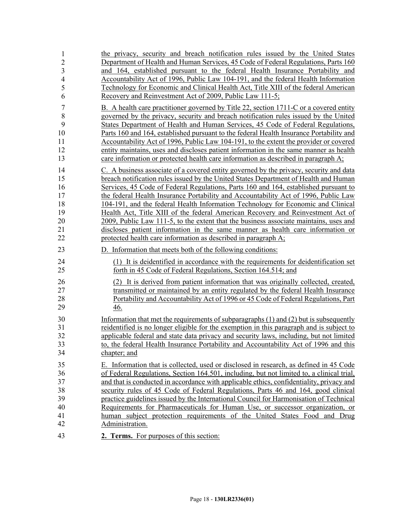| 1              | the privacy, security and breach notification rules issued by the United States            |
|----------------|--------------------------------------------------------------------------------------------|
| $\overline{2}$ | Department of Health and Human Services, 45 Code of Federal Regulations, Parts 160         |
| 3              | and 164, established pursuant to the federal Health Insurance Portability and              |
| $\overline{4}$ | Accountability Act of 1996, Public Law 104-191, and the federal Health Information         |
| 5              | Technology for Economic and Clinical Health Act, Title XIII of the federal American        |
| 6              | Recovery and Reinvestment Act of 2009, Public Law 111-5;                                   |
| $\overline{7}$ | B. A health care practitioner governed by Title 22, section 1711-C or a covered entity     |
| 8              | governed by the privacy, security and breach notification rules issued by the United       |
| 9              | States Department of Health and Human Services, 45 Code of Federal Regulations,            |
| 10             | Parts 160 and 164, established pursuant to the federal Health Insurance Portability and    |
| 11             | Accountability Act of 1996, Public Law 104-191, to the extent the provider or covered      |
| 12             | entity maintains, uses and discloses patient information in the same manner as health      |
| 13             | care information or protected health care information as described in paragraph A;         |
| 14             | C. A business associate of a covered entity governed by the privacy, security and data     |
| 15             | breach notification rules issued by the United States Department of Health and Human       |
| 16             | Services, 45 Code of Federal Regulations, Parts 160 and 164, established pursuant to       |
| 17             | the federal Health Insurance Portability and Accountability Act of 1996, Public Law        |
| 18             | 104-191, and the federal Health Information Technology for Economic and Clinical           |
| 19             | Health Act, Title XIII of the federal American Recovery and Reinvestment Act of            |
| 20             | 2009, Public Law 111-5, to the extent that the business associate maintains, uses and      |
| 21             | discloses patient information in the same manner as health care information or             |
| 22             | protected health care information as described in paragraph A;                             |
| 23             | Information that meets both of the following conditions:                                   |
| 24             | (1) It is deidentified in accordance with the requirements for deidentification set        |
| 25             | forth in 45 Code of Federal Regulations, Section 164.514; and                              |
| 26             | (2) It is derived from patient information that was originally collected, created,         |
| 27             | transmitted or maintained by an entity regulated by the federal Health Insurance           |
| 28             | Portability and Accountability Act of 1996 or 45 Code of Federal Regulations, Part         |
| 29             | 46.                                                                                        |
| 30             | Information that met the requirements of subparagraphs $(1)$ and $(2)$ but is subsequently |
| 31             | reidentified is no longer eligible for the exemption in this paragraph and is subject to   |
| 32             | applicable federal and state data privacy and security laws, including, but not limited    |
| 33             | to, the federal Health Insurance Portability and Accountability Act of 1996 and this       |
| 34             | chapter; and                                                                               |
| 35             | E. Information that is collected, used or disclosed in research, as defined in 45 Code     |
| 36             | of Federal Regulations, Section 164.501, including, but not limited to, a clinical trial,  |
| 37             | and that is conducted in accordance with applicable ethics, confidentiality, privacy and   |
| 38             | security rules of 45 Code of Federal Regulations, Parts 46 and 164, good clinical          |
| 39             | practice guidelines issued by the International Council for Harmonisation of Technical     |
| 40             | Requirements for Pharmaceuticals for Human Use, or successor organization, or              |
| 41             | human subject protection requirements of the United States Food and Drug                   |
| 42             | Administration.                                                                            |
| 43             | 2. Terms. For purposes of this section:                                                    |
|                |                                                                                            |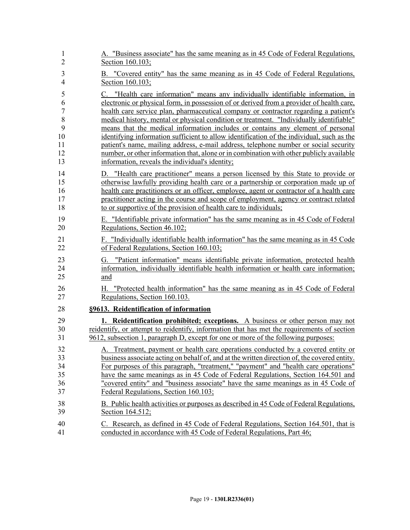| $\mathbf{1}$   | A. "Business associate" has the same meaning as in 45 Code of Federal Regulations,                                                                                                   |
|----------------|--------------------------------------------------------------------------------------------------------------------------------------------------------------------------------------|
| $\overline{2}$ | Section 160.103;                                                                                                                                                                     |
| 3              | B. "Covered entity" has the same meaning as in 45 Code of Federal Regulations,                                                                                                       |
| $\overline{4}$ | Section 160.103;                                                                                                                                                                     |
| 5              | C. "Health care information" means any individually identifiable information, in                                                                                                     |
| 6              | electronic or physical form, in possession of or derived from a provider of health care,                                                                                             |
| 7              | health care service plan, pharmaceutical company or contractor regarding a patient's                                                                                                 |
| 8              | medical history, mental or physical condition or treatment. "Individually identifiable"                                                                                              |
| 9              | means that the medical information includes or contains any element of personal                                                                                                      |
| 10             | identifying information sufficient to allow identification of the individual, such as the                                                                                            |
| 11             | patient's name, mailing address, e-mail address, telephone number or social security                                                                                                 |
| 12             | number, or other information that, alone or in combination with other publicly available                                                                                             |
| 13             | information, reveals the individual's identity;                                                                                                                                      |
| 14             | D. "Health care practitioner" means a person licensed by this State to provide or                                                                                                    |
| 15             | otherwise lawfully providing health care or a partnership or corporation made up of                                                                                                  |
| 16             | health care practitioners or an officer, employee, agent or contractor of a health care                                                                                              |
| 17             | practitioner acting in the course and scope of employment, agency or contract related                                                                                                |
| 18             | to or supportive of the provision of health care to individuals;                                                                                                                     |
| 19             | E. "Identifiable private information" has the same meaning as in 45 Code of Federal                                                                                                  |
| 20             | Regulations, Section 46.102;                                                                                                                                                         |
| 21             | F. "Individually identifiable health information" has the same meaning as in 45 Code                                                                                                 |
| 22             | of Federal Regulations, Section 160.103;                                                                                                                                             |
| 23<br>24<br>25 | "Patient information" means identifiable private information, protected health<br>G.<br>information, individually identifiable health information or health care information;<br>and |
| 26<br>27       | "Protected health information" has the same meaning as in 45 Code of Federal<br>Н.<br>Regulations, Section 160.103.                                                                  |
| 28             | §9613. Reidentification of information                                                                                                                                               |
| 29             | <b>1. Reidentification prohibited; exceptions.</b> A business or other person may not                                                                                                |
| 30             | reidentify, or attempt to reidentify, information that has met the requirements of section                                                                                           |
| 31             | 9612, subsection 1, paragraph D, except for one or more of the following purposes:                                                                                                   |
| 32             | A. Treatment, payment or health care operations conducted by a covered entity or                                                                                                     |
| 33             | business associate acting on behalf of, and at the written direction of, the covered entity.                                                                                         |
| 34             | For purposes of this paragraph, "treatment," "payment" and "health care operations"                                                                                                  |
| 35             | have the same meanings as in 45 Code of Federal Regulations, Section 164.501 and                                                                                                     |
| 36             | "covered entity" and "business associate" have the same meanings as in 45 Code of                                                                                                    |
| 37             | Federal Regulations, Section 160.103;                                                                                                                                                |
| 38             | B. Public health activities or purposes as described in 45 Code of Federal Regulations,                                                                                              |
| 39             | Section 164.512;                                                                                                                                                                     |
| 40             | C. Research, as defined in 45 Code of Federal Regulations, Section 164.501, that is                                                                                                  |
| 41             | conducted in accordance with 45 Code of Federal Regulations, Part 46;                                                                                                                |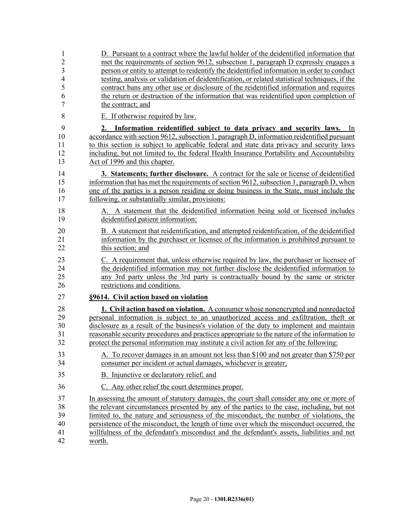| 1                         | D. Pursuant to a contract where the lawful holder of the deidentified information that                                                                                                                                                                                                                                                                                                                            |
|---------------------------|-------------------------------------------------------------------------------------------------------------------------------------------------------------------------------------------------------------------------------------------------------------------------------------------------------------------------------------------------------------------------------------------------------------------|
| $\overline{2}$            | met the requirements of section 9612, subsection 1, paragraph D expressly engages a                                                                                                                                                                                                                                                                                                                               |
| $\mathfrak{Z}$            | person or entity to attempt to reidentify the deidentified information in order to conduct                                                                                                                                                                                                                                                                                                                        |
| $\overline{4}$            | testing, analysis or validation of deidentification, or related statistical techniques, if the                                                                                                                                                                                                                                                                                                                    |
| 5                         | contract bans any other use or disclosure of the reidentified information and requires                                                                                                                                                                                                                                                                                                                            |
| 6                         | the return or destruction of the information that was reidentified upon completion of                                                                                                                                                                                                                                                                                                                             |
| $\overline{7}$            | the contract; and                                                                                                                                                                                                                                                                                                                                                                                                 |
| 8                         | E. If otherwise required by law.                                                                                                                                                                                                                                                                                                                                                                                  |
| 9<br>10<br>11<br>12<br>13 | 2. Information reidentified subject to data privacy and security laws.<br><sub>In</sub><br>accordance with section 9612, subsection 1, paragraph D, information reidentified pursuant<br>to this section is subject to applicable federal and state data privacy and security laws<br>including, but not limited to, the federal Health Insurance Portability and Accountability<br>Act of 1996 and this chapter. |
| 14                        | 3. Statements; further disclosure. A contract for the sale or license of deidentified                                                                                                                                                                                                                                                                                                                             |
| 15                        | information that has met the requirements of section 9612, subsection 1, paragraph D, when                                                                                                                                                                                                                                                                                                                        |
| 16                        | one of the parties is a person residing or doing business in the State, must include the                                                                                                                                                                                                                                                                                                                          |
| 17                        | following, or substantially similar, provisions:                                                                                                                                                                                                                                                                                                                                                                  |
| 18                        | A. A statement that the deidentified information being sold or licensed includes                                                                                                                                                                                                                                                                                                                                  |
| 19                        | deidentified patient information;                                                                                                                                                                                                                                                                                                                                                                                 |
| 20                        | B. A statement that reidentification, and attempted reidentification, of the deidentified                                                                                                                                                                                                                                                                                                                         |
| 21                        | information by the purchaser or licensee of the information is prohibited pursuant to                                                                                                                                                                                                                                                                                                                             |
| 22                        | this section; and                                                                                                                                                                                                                                                                                                                                                                                                 |
| 23                        | C. A requirement that, unless otherwise required by law, the purchaser or licensee of                                                                                                                                                                                                                                                                                                                             |
| 24                        | the deidentified information may not further disclose the deidentified information to                                                                                                                                                                                                                                                                                                                             |
| 25                        | any 3rd party unless the 3rd party is contractually bound by the same or stricter                                                                                                                                                                                                                                                                                                                                 |
| 26                        | restrictions and conditions.                                                                                                                                                                                                                                                                                                                                                                                      |
| 27                        | §9614. Civil action based on violation                                                                                                                                                                                                                                                                                                                                                                            |
| 28                        | 1. Civil action based on violation. A consumer whose nonencrypted and nonredacted                                                                                                                                                                                                                                                                                                                                 |
| 29                        | personal information is subject to an unauthorized access and exfiltration, theft or                                                                                                                                                                                                                                                                                                                              |
| 30                        | disclosure as a result of the business's violation of the duty to implement and maintain                                                                                                                                                                                                                                                                                                                          |
| 31                        | reasonable security procedures and practices appropriate to the nature of the information to                                                                                                                                                                                                                                                                                                                      |
| 32                        | protect the personal information may institute a civil action for any of the following:                                                                                                                                                                                                                                                                                                                           |
| 33                        | A. To recover damages in an amount not less than \$100 and not greater than \$750 per                                                                                                                                                                                                                                                                                                                             |
| 34                        | consumer per incident or actual damages, whichever is greater;                                                                                                                                                                                                                                                                                                                                                    |
| 35                        | B. Injunctive or declaratory relief; and                                                                                                                                                                                                                                                                                                                                                                          |
| 36                        | C. Any other relief the court determines proper.                                                                                                                                                                                                                                                                                                                                                                  |
| 37                        | In assessing the amount of statutory damages, the court shall consider any one or more of                                                                                                                                                                                                                                                                                                                         |
| 38                        | the relevant circumstances presented by any of the parties to the case, including, but not                                                                                                                                                                                                                                                                                                                        |
| 39                        | limited to, the nature and seriousness of the misconduct, the number of violations, the                                                                                                                                                                                                                                                                                                                           |
| 40                        | persistence of the misconduct, the length of time over which the misconduct occurred, the                                                                                                                                                                                                                                                                                                                         |
| 41                        | willfulness of the defendant's misconduct and the defendant's assets, liabilities and net                                                                                                                                                                                                                                                                                                                         |
| 42                        | worth.                                                                                                                                                                                                                                                                                                                                                                                                            |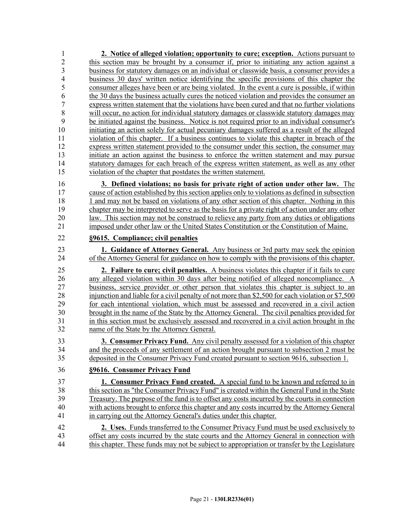1 **2. Notice of alleged violation; opportunity to cure; exception.** Actions pursuant to 2 this section may be brought by a consumer if, prior to initiating any action against a 3 business for statutory damages on an individual or classwide basis, a consumer provides a 4 business 30 days' written notice identifying the specific provisions of this chapter the 5 consumer alleges have been or are being violated. In the event a cure is possible, if within 6 the 30 days the business actually cures the noticed violation and provides the consumer an 7 express written statement that the violations have been cured and that no further violations 8 will occur, no action for individual statutory damages or classwide statutory damages may 9 be initiated against the business. Notice is not required prior to an individual consumer's 10 initiating an action solely for actual pecuniary damages suffered as a result of the alleged 11 violation of this chapter. If a business continues to violate this chapter in breach of the 12 express written statement provided to the consumer under this section, the consumer may 13 initiate an action against the business to enforce the written statement and may pursue 14 statutory damages for each breach of the express written statement, as well as any other 15 violation of the chapter that postdates the written statement. 16 **3. Defined violations; no basis for private right of action under other law.** The 17 cause of action established by this section applies only to violations as defined in subsection 18 18 1 and may not be based on violations of any other section of this chapter. Nothing in this 19 chapter may be interpreted to serve as the basis for a private right of action under any other 20 law. This section may not be construed to relieve any party from any duties or obligations 21 imposed under other law or the United States Constitution or the Constitution of Maine. 22 **§9615. Compliance; civil penalties**

23 **1. Guidance of Attorney General.** Any business or 3rd party may seek the opinion 24 of the Attorney General for guidance on how to comply with the provisions of this chapter.

25 **2. Failure to cure; civil penalties.** A business violates this chapter if it fails to cure 26 any alleged violation within 30 days after being notified of alleged noncompliance. A 27 business, service provider or other person that violates this chapter is subject to an 28 injunction and liable for a civil penalty of not more than \$2,500 for each violation or \$7,500 29 for each intentional violation, which must be assessed and recovered in a civil action 30 brought in the name of the State by the Attorney General. The civil penalties provided for 31 in this section must be exclusively assessed and recovered in a civil action brought in the 32 name of the State by the Attorney General.

33 **3. Consumer Privacy Fund.** Any civil penalty assessed for a violation of this chapter 34 and the proceeds of any settlement of an action brought pursuant to subsection 2 must be 35 deposited in the Consumer Privacy Fund created pursuant to section 9616, subsection 1.

## 36 **§9616. Consumer Privacy Fund**

37 **1. Consumer Privacy Fund created.** A special fund to be known and referred to in 38 this section as "the Consumer Privacy Fund" is created within the General Fund in the State 39 Treasury. The purpose of the fund is to offset any costs incurred by the courts in connection 40 with actions brought to enforce this chapter and any costs incurred by the Attorney General 41 in carrying out the Attorney General's duties under this chapter.

42 **2. Uses.** Funds transferred to the Consumer Privacy Fund must be used exclusively to 43 offset any costs incurred by the state courts and the Attorney General in connection with 44 this chapter. These funds may not be subject to appropriation or transfer by the Legislature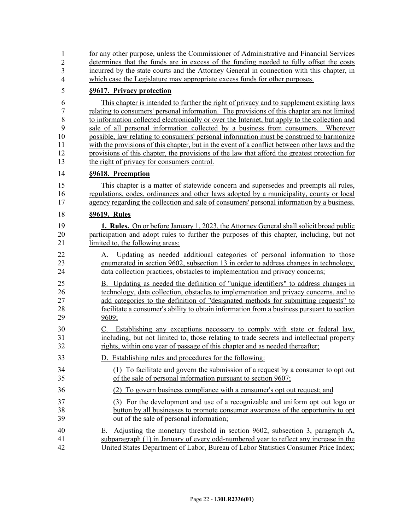| $\mathbf{1}$   | for any other purpose, unless the Commissioner of Administrative and Financial Services                                                                                                                                                                            |
|----------------|--------------------------------------------------------------------------------------------------------------------------------------------------------------------------------------------------------------------------------------------------------------------|
| $\overline{2}$ | determines that the funds are in excess of the funding needed to fully offset the costs                                                                                                                                                                            |
| 3              | incurred by the state courts and the Attorney General in connection with this chapter, in                                                                                                                                                                          |
| $\overline{4}$ | which case the Legislature may appropriate excess funds for other purposes.                                                                                                                                                                                        |
| 5              | §9617. Privacy protection                                                                                                                                                                                                                                          |
| 6              | This chapter is intended to further the right of privacy and to supplement existing laws                                                                                                                                                                           |
| $\tau$         | relating to consumers' personal information. The provisions of this chapter are not limited                                                                                                                                                                        |
| 8              | to information collected electronically or over the Internet, but apply to the collection and                                                                                                                                                                      |
| 9              | sale of all personal information collected by a business from consumers. Wherever                                                                                                                                                                                  |
| 10             | possible, law relating to consumers' personal information must be construed to harmonize                                                                                                                                                                           |
| 11             | with the provisions of this chapter, but in the event of a conflict between other laws and the                                                                                                                                                                     |
| 12             | provisions of this chapter, the provisions of the law that afford the greatest protection for                                                                                                                                                                      |
| 13             | the right of privacy for consumers control.                                                                                                                                                                                                                        |
| 14             | §9618. Preemption                                                                                                                                                                                                                                                  |
| 15             | This chapter is a matter of statewide concern and supersedes and preempts all rules,                                                                                                                                                                               |
| 16             | regulations, codes, ordinances and other laws adopted by a municipality, county or local                                                                                                                                                                           |
| 17             | agency regarding the collection and sale of consumers' personal information by a business.                                                                                                                                                                         |
| 18             | §9619. Rules                                                                                                                                                                                                                                                       |
| 19             | <b>1. Rules.</b> On or before January 1, 2023, the Attorney General shall solicit broad public                                                                                                                                                                     |
| 20             | participation and adopt rules to further the purposes of this chapter, including, but not                                                                                                                                                                          |
| 21             | limited to, the following areas:                                                                                                                                                                                                                                   |
| 22             | Updating as needed additional categories of personal information to those                                                                                                                                                                                          |
| 23             | enumerated in section 9602, subsection 13 in order to address changes in technology.                                                                                                                                                                               |
| 24             | data collection practices, obstacles to implementation and privacy concerns;                                                                                                                                                                                       |
| 25             | B. Updating as needed the definition of "unique identifiers" to address changes in                                                                                                                                                                                 |
| 26             | technology, data collection, obstacles to implementation and privacy concerns, and to                                                                                                                                                                              |
| 27             | add categories to the definition of "designated methods for submitting requests" to                                                                                                                                                                                |
| 28             | facilitate a consumer's ability to obtain information from a business pursuant to section                                                                                                                                                                          |
| 29             | 9609;                                                                                                                                                                                                                                                              |
| 30<br>31<br>32 | Establishing any exceptions necessary to comply with state or federal law,<br>C.<br>including, but not limited to, those relating to trade secrets and intellectual property<br>rights, within one year of passage of this chapter and as needed thereafter;       |
| 33             | D. Establishing rules and procedures for the following:                                                                                                                                                                                                            |
| 34             | (1) To facilitate and govern the submission of a request by a consumer to opt out                                                                                                                                                                                  |
| 35             | of the sale of personal information pursuant to section 9607;                                                                                                                                                                                                      |
| 36             | (2) To govern business compliance with a consumer's opt out request; and                                                                                                                                                                                           |
| 37             | (3) For the development and use of a recognizable and uniform opt out logo or                                                                                                                                                                                      |
| 38             | button by all businesses to promote consumer awareness of the opportunity to opt                                                                                                                                                                                   |
| 39             | out of the sale of personal information;                                                                                                                                                                                                                           |
| 40<br>41<br>42 | Adjusting the monetary threshold in section 9602, subsection 3, paragraph A,<br>Е.<br>subparagraph (1) in January of every odd-numbered year to reflect any increase in the<br>United States Department of Labor, Bureau of Labor Statistics Consumer Price Index; |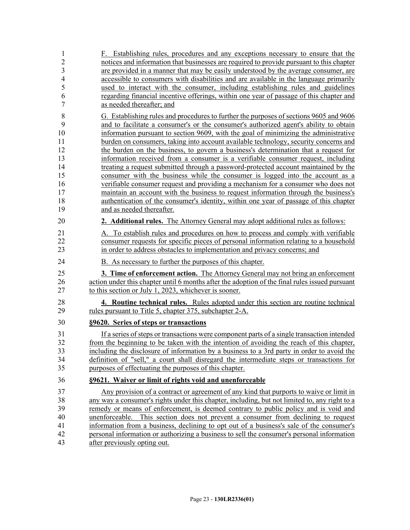| 1                       | F. Establishing rules, procedures and any exceptions necessary to ensure that the                                                                                  |
|-------------------------|--------------------------------------------------------------------------------------------------------------------------------------------------------------------|
| $\overline{c}$          | notices and information that businesses are required to provide pursuant to this chapter                                                                           |
| $\overline{\mathbf{3}}$ | are provided in a manner that may be easily understood by the average consumer, are                                                                                |
| $\overline{4}$          | accessible to consumers with disabilities and are available in the language primarily                                                                              |
| 5                       | used to interact with the consumer, including establishing rules and guidelines                                                                                    |
| 6                       | regarding financial incentive offerings, within one year of passage of this chapter and                                                                            |
| $\tau$                  | as needed thereafter; and                                                                                                                                          |
| $\,$ $\,$               | G. Establishing rules and procedures to further the purposes of sections 9605 and 9606                                                                             |
| 9                       | and to facilitate a consumer's or the consumer's authorized agent's ability to obtain                                                                              |
| 10                      | information pursuant to section 9609, with the goal of minimizing the administrative                                                                               |
| 11                      | burden on consumers, taking into account available technology, security concerns and                                                                               |
| 12                      | the burden on the business, to govern a business's determination that a request for                                                                                |
| 13                      | information received from a consumer is a verifiable consumer request, including                                                                                   |
| 14                      | treating a request submitted through a password-protected account maintained by the                                                                                |
| 15<br>16                | consumer with the business while the consumer is logged into the account as a<br>verifiable consumer request and providing a mechanism for a consumer who does not |
| 17                      | maintain an account with the business to request information through the business's                                                                                |
| 18                      | authentication of the consumer's identity, within one year of passage of this chapter                                                                              |
| 19                      | and as needed thereafter.                                                                                                                                          |
|                         |                                                                                                                                                                    |
| 20                      | 2. Additional rules. The Attorney General may adopt additional rules as follows:                                                                                   |
| 21                      | A. To establish rules and procedures on how to process and comply with verifiable                                                                                  |
| 22                      | consumer requests for specific pieces of personal information relating to a household                                                                              |
| 23                      | in order to address obstacles to implementation and privacy concerns; and                                                                                          |
| 24                      | B. As necessary to further the purposes of this chapter.                                                                                                           |
| 25                      | 3. Time of enforcement action. The Attorney General may not bring an enforcement                                                                                   |
| 26                      | action under this chapter until 6 months after the adoption of the final rules issued pursuant                                                                     |
| 27                      | to this section or July 1, 2023, whichever is sooner.                                                                                                              |
| 28                      | 4. Routine technical rules. Rules adopted under this section are routine technical                                                                                 |
| 29                      | rules pursuant to Title 5, chapter 375, subchapter 2-A.                                                                                                            |
| 30                      | §9620. Series of steps or transactions                                                                                                                             |
| 31                      | If a series of steps or transactions were component parts of a single transaction intended                                                                         |
| 32                      | from the beginning to be taken with the intention of avoiding the reach of this chapter,                                                                           |
| 33                      | including the disclosure of information by a business to a 3rd party in order to avoid the                                                                         |
| 34                      | definition of "sell," a court shall disregard the intermediate steps or transactions for                                                                           |
| 35                      | purposes of effectuating the purposes of this chapter.                                                                                                             |
| 36                      | §9621. Waiver or limit of rights void and unenforceable                                                                                                            |
| 37                      | Any provision of a contract or agreement of any kind that purports to waive or limit in                                                                            |
| 38                      | any way a consumer's rights under this chapter, including, but not limited to, any right to a                                                                      |
| 39                      | remedy or means of enforcement, is deemed contrary to public policy and is void and                                                                                |
| 40                      | This section does not prevent a consumer from declining to request<br>unenforceable.                                                                               |
| 41                      | information from a business, declining to opt out of a business's sale of the consumer's                                                                           |
| 42                      | personal information or authorizing a business to sell the consumer's personal information                                                                         |
| 43                      | after previously opting out.                                                                                                                                       |
|                         |                                                                                                                                                                    |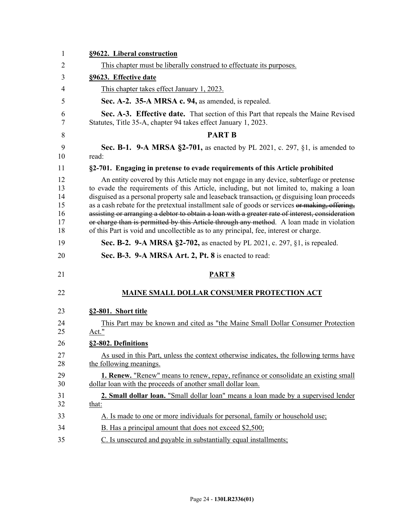| §9622. Liberal construction                                                                                                                                                                                                                                                                                                                                                                                                                                                                                                                                                                                                                                                |
|----------------------------------------------------------------------------------------------------------------------------------------------------------------------------------------------------------------------------------------------------------------------------------------------------------------------------------------------------------------------------------------------------------------------------------------------------------------------------------------------------------------------------------------------------------------------------------------------------------------------------------------------------------------------------|
| This chapter must be liberally construed to effectuate its purposes.                                                                                                                                                                                                                                                                                                                                                                                                                                                                                                                                                                                                       |
| §9623. Effective date                                                                                                                                                                                                                                                                                                                                                                                                                                                                                                                                                                                                                                                      |
| This chapter takes effect January 1, 2023.                                                                                                                                                                                                                                                                                                                                                                                                                                                                                                                                                                                                                                 |
| Sec. A-2. 35-A MRSA c. 94, as amended, is repealed.                                                                                                                                                                                                                                                                                                                                                                                                                                                                                                                                                                                                                        |
| Sec. A-3. Effective date. That section of this Part that repeals the Maine Revised<br>Statutes, Title 35-A, chapter 94 takes effect January 1, 2023.                                                                                                                                                                                                                                                                                                                                                                                                                                                                                                                       |
| <b>PART B</b>                                                                                                                                                                                                                                                                                                                                                                                                                                                                                                                                                                                                                                                              |
| Sec. B-1. 9-A MRSA §2-701, as enacted by PL 2021, c. 297, §1, is amended to<br>read:                                                                                                                                                                                                                                                                                                                                                                                                                                                                                                                                                                                       |
| §2-701. Engaging in pretense to evade requirements of this Article prohibited                                                                                                                                                                                                                                                                                                                                                                                                                                                                                                                                                                                              |
| An entity covered by this Article may not engage in any device, subterfuge or pretense<br>to evade the requirements of this Article, including, but not limited to, making a loan<br>disguised as a personal property sale and leaseback transaction, or disguising loan proceeds<br>as a cash rebate for the pretextual installment sale of goods or services or making, offering,<br>assisting or arranging a debtor to obtain a loan with a greater rate of interest, consideration<br>or charge than is permitted by this Article through any method. A loan made in violation<br>of this Part is void and uncollectible as to any principal, fee, interest or charge. |
| Sec. B-2. 9-A MRSA §2-702, as enacted by PL 2021, c. 297, §1, is repealed.                                                                                                                                                                                                                                                                                                                                                                                                                                                                                                                                                                                                 |
| Sec. B-3. 9-A MRSA Art. 2, Pt. 8 is enacted to read:                                                                                                                                                                                                                                                                                                                                                                                                                                                                                                                                                                                                                       |
| <b>PART 8</b>                                                                                                                                                                                                                                                                                                                                                                                                                                                                                                                                                                                                                                                              |
| <b>MAINE SMALL DOLLAR CONSUMER PROTECTION ACT</b>                                                                                                                                                                                                                                                                                                                                                                                                                                                                                                                                                                                                                          |
|                                                                                                                                                                                                                                                                                                                                                                                                                                                                                                                                                                                                                                                                            |
|                                                                                                                                                                                                                                                                                                                                                                                                                                                                                                                                                                                                                                                                            |
| §2-801. Short title<br>This Part may be known and cited as "the Maine Small Dollar Consumer Protection"<br>Act."                                                                                                                                                                                                                                                                                                                                                                                                                                                                                                                                                           |
| §2-802. Definitions                                                                                                                                                                                                                                                                                                                                                                                                                                                                                                                                                                                                                                                        |
| As used in this Part, unless the context otherwise indicates, the following terms have<br>the following meanings.                                                                                                                                                                                                                                                                                                                                                                                                                                                                                                                                                          |
| <b>1. Renew.</b> "Renew" means to renew, repay, refinance or consolidate an existing small<br>dollar loan with the proceeds of another small dollar loan.                                                                                                                                                                                                                                                                                                                                                                                                                                                                                                                  |
| 2. Small dollar loan. "Small dollar loan" means a loan made by a supervised lender                                                                                                                                                                                                                                                                                                                                                                                                                                                                                                                                                                                         |
| that:                                                                                                                                                                                                                                                                                                                                                                                                                                                                                                                                                                                                                                                                      |
| A. Is made to one or more individuals for personal, family or household use;<br>B. Has a principal amount that does not exceed \$2,500;                                                                                                                                                                                                                                                                                                                                                                                                                                                                                                                                    |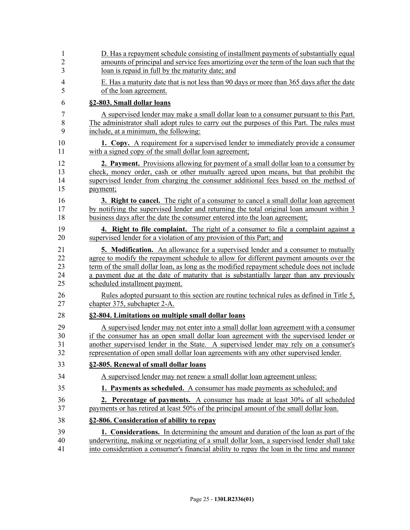| $\mathbf{1}$   | D. Has a repayment schedule consisting of installment payments of substantially equal      |
|----------------|--------------------------------------------------------------------------------------------|
| $\overline{2}$ | amounts of principal and service fees amortizing over the term of the loan such that the   |
| 3              | loan is repaid in full by the maturity date; and                                           |
| $\overline{4}$ | E. Has a maturity date that is not less than 90 days or more than 365 days after the date  |
| 5              | of the loan agreement.                                                                     |
| 6              | §2-803. Small dollar loans                                                                 |
| 7              | A supervised lender may make a small dollar loan to a consumer pursuant to this Part.      |
| 8              | The administrator shall adopt rules to carry out the purposes of this Part. The rules must |
| 9              | include, at a minimum, the following:                                                      |
| 10             | <b>1. Copy.</b> A requirement for a supervised lender to immediately provide a consumer    |
| 11             | with a signed copy of the small dollar loan agreement;                                     |
| 12             | <b>2. Payment.</b> Provisions allowing for payment of a small dollar loan to a consumer by |
| 13             | check, money order, cash or other mutually agreed upon means, but that prohibit the        |
| 14             | supervised lender from charging the consumer additional fees based on the method of        |
| 15             | payment;                                                                                   |
| 16             | <b>3. Right to cancel.</b> The right of a consumer to cancel a small dollar loan agreement |
| 17             | by notifying the supervised lender and returning the total original loan amount within 3   |
| 18             | business days after the date the consumer entered into the loan agreement;                 |
| 19             | 4. Right to file complaint. The right of a consumer to file a complaint against a          |
| 20             | supervised lender for a violation of any provision of this Part; and                       |
| 21             | <b>5. Modification.</b> An allowance for a supervised lender and a consumer to mutually    |
| 22             | agree to modify the repayment schedule to allow for different payment amounts over the     |
| 23             | term of the small dollar loan, as long as the modified repayment schedule does not include |
| 24             | a payment due at the date of maturity that is substantially larger than any previously     |
| 25             | scheduled installment payment.                                                             |
| 26             | Rules adopted pursuant to this section are routine technical rules as defined in Title 5,  |
| 27             | chapter 375, subchapter 2-A.                                                               |
| 28             | §2-804. Limitations on multiple small dollar loans                                         |
| 29             | A supervised lender may not enter into a small dollar loan agreement with a consumer       |
| 30             | if the consumer has an open small dollar loan agreement with the supervised lender or      |
| 31             | another supervised lender in the State. A supervised lender may rely on a consumer's       |
| 32             | representation of open small dollar loan agreements with any other supervised lender.      |
| 33             | §2-805. Renewal of small dollar loans                                                      |
| 34             | A supervised lender may not renew a small dollar loan agreement unless:                    |
| 35             | 1. Payments as scheduled. A consumer has made payments as scheduled; and                   |
| 36             | <b>2. Percentage of payments.</b> A consumer has made at least 30% of all scheduled        |
| 37             | payments or has retired at least 50% of the principal amount of the small dollar loan.     |
| 38             | §2-806. Consideration of ability to repay                                                  |
| 39             | 1. Considerations. In determining the amount and duration of the loan as part of the       |
| 40             | underwriting, making or negotiating of a small dollar loan, a supervised lender shall take |
| 41             | into consideration a consumer's financial ability to repay the loan in the time and manner |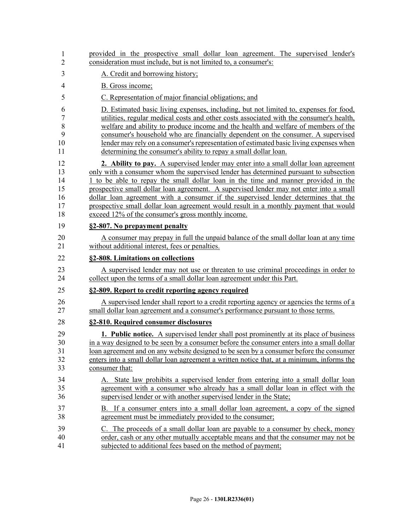| 1              | provided in the prospective small dollar loan agreement. The supervised lender's             |
|----------------|----------------------------------------------------------------------------------------------|
| 2              | consideration must include, but is not limited to, a consumer's:                             |
| 3              | A. Credit and borrowing history;                                                             |
| $\overline{4}$ | B. Gross income;                                                                             |
| 5              | C. Representation of major financial obligations; and                                        |
| 6              | D. Estimated basic living expenses, including, but not limited to, expenses for food,        |
| 7              | utilities, regular medical costs and other costs associated with the consumer's health,      |
| 8              | welfare and ability to produce income and the health and welfare of members of the           |
| 9              | consumer's household who are financially dependent on the consumer. A supervised             |
| 10             | lender may rely on a consumer's representation of estimated basic living expenses when       |
| 11             | determining the consumer's ability to repay a small dollar loan.                             |
| 12             | 2. Ability to pay. A supervised lender may enter into a small dollar loan agreement          |
| 13             | only with a consumer whom the supervised lender has determined pursuant to subsection        |
| 14             | 1 to be able to repay the small dollar loan in the time and manner provided in the           |
| 15             | prospective small dollar loan agreement. A supervised lender may not enter into a small      |
| 16             | dollar loan agreement with a consumer if the supervised lender determines that the           |
| 17             | prospective small dollar loan agreement would result in a monthly payment that would         |
| 18             | exceed 12% of the consumer's gross monthly income.                                           |
| 19             | §2-807. No prepayment penalty                                                                |
| 20             | A consumer may prepay in full the unpaid balance of the small dollar loan at any time        |
| 21             | without additional interest, fees or penalties.                                              |
| 22             | §2-808. Limitations on collections                                                           |
| 23             | A supervised lender may not use or threaten to use criminal proceedings in order to          |
| 24             | collect upon the terms of a small dollar loan agreement under this Part.                     |
| 25             | §2-809. Report to credit reporting agency required                                           |
| 26             | A supervised lender shall report to a credit reporting agency or agencies the terms of a     |
| 27             | small dollar loan agreement and a consumer's performance pursuant to those terms.            |
| 28             | §2-810. Required consumer disclosures                                                        |
| 29             | <b>1. Public notice.</b> A supervised lender shall post prominently at its place of business |
| 30             | in a way designed to be seen by a consumer before the consumer enters into a small dollar    |
| 31             | loan agreement and on any website designed to be seen by a consumer before the consumer      |
| 32             | enters into a small dollar loan agreement a written notice that, at a minimum, informs the   |
| 33             | consumer that:                                                                               |
| 34             | A. State law prohibits a supervised lender from entering into a small dollar loan            |
| 35             | agreement with a consumer who already has a small dollar loan in effect with the             |
| 36             | supervised lender or with another supervised lender in the State;                            |
| 37             | B. If a consumer enters into a small dollar loan agreement, a copy of the signed             |
| 38             | agreement must be immediately provided to the consumer;                                      |
| 39             | C. The proceeds of a small dollar loan are payable to a consumer by check, money             |
| 40             | order, cash or any other mutually acceptable means and that the consumer may not be          |
| 41             | subjected to additional fees based on the method of payment;                                 |